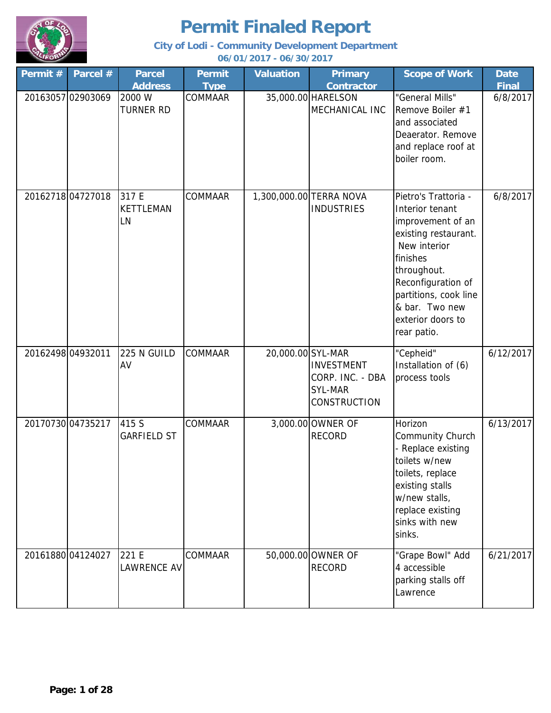

| Permit #          | Parcel #          | <b>Parcel</b><br><b>Address</b> | <b>Permit</b><br><b>Type</b> | <b>Valuation</b>  | Primary<br><b>Contractor</b>                                            | <b>Scope of Work</b>                                                                                                                                                                                                                 | <b>Date</b><br><b>Final</b> |
|-------------------|-------------------|---------------------------------|------------------------------|-------------------|-------------------------------------------------------------------------|--------------------------------------------------------------------------------------------------------------------------------------------------------------------------------------------------------------------------------------|-----------------------------|
|                   | 20163057 02903069 | 2000 W<br><b>TURNER RD</b>      | COMMAAR                      |                   | 35,000.00 HARELSON<br>MECHANICAL INC                                    | "General Mills"<br>Remove Boiler #1<br>and associated<br>Deaerator. Remove<br>and replace roof at<br>boiler room.                                                                                                                    | 6/8/2017                    |
|                   | 20162718 04727018 | 317 E<br><b>KETTLEMAN</b><br>LN | <b>COMMAAR</b>               |                   | 1,300,000.00 TERRA NOVA<br><b>INDUSTRIES</b>                            | Pietro's Trattoria -<br>Interior tenant<br>improvement of an<br>existing restaurant.<br>New interior<br>finishes<br>throughout.<br>Reconfiguration of<br>partitions, cook line<br>& bar. Two new<br>exterior doors to<br>rear patio. | 6/8/2017                    |
| 20162498 04932011 |                   | 225 N GUILD<br>AV               | COMMAAR                      | 20,000.00 SYL-MAR | <b>INVESTMENT</b><br>CORP. INC. - DBA<br>SYL-MAR<br><b>CONSTRUCTION</b> | "Cepheid"<br>Installation of (6)<br>process tools                                                                                                                                                                                    | 6/12/2017                   |
|                   | 20170730 04735217 | 415 S<br><b>GARFIELD ST</b>     | COMMAAR                      |                   | 3,000.00 OWNER OF<br><b>RECORD</b>                                      | Horizon<br>Community Church<br>- Replace existing<br>toilets w/new<br>toilets, replace<br>existing stalls<br>w/new stalls,<br>replace existing<br>sinks with new<br>sinks.                                                           | 6/13/2017                   |
|                   | 20161880 04124027 | 221 E<br>LAWRENCE AV            | COMMAAR                      |                   | 50,000.00 OWNER OF<br><b>RECORD</b>                                     | "Grape Bowl" Add<br>4 accessible<br>parking stalls off<br>Lawrence                                                                                                                                                                   | 6/21/2017                   |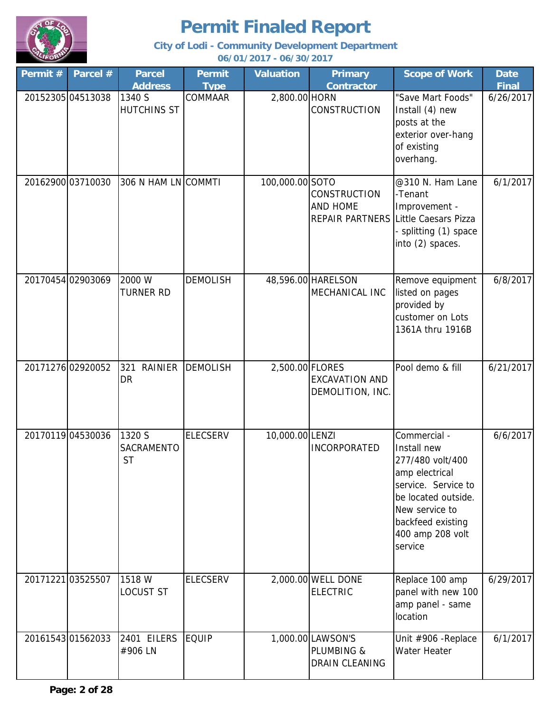

| Permit # | Parcel #          | <b>Parcel</b>                      | <b>Permit</b>   | <b>Valuation</b> | <b>Primary</b>                                    | <b>Scope of Work</b>                                                                                                                                                                  | <b>Date</b>  |
|----------|-------------------|------------------------------------|-----------------|------------------|---------------------------------------------------|---------------------------------------------------------------------------------------------------------------------------------------------------------------------------------------|--------------|
|          |                   | <b>Address</b>                     | <b>Type</b>     |                  | <b>Contractor</b>                                 |                                                                                                                                                                                       | <b>Final</b> |
|          | 20152305 04513038 | 1340 S<br><b>HUTCHINS ST</b>       | COMMAAR         | 2,800.00 HORN    | <b>CONSTRUCTION</b>                               | "Save Mart Foods"<br>Install (4) new<br>posts at the<br>exterior over-hang<br>of existing<br>overhang.                                                                                | 6/26/2017    |
|          | 20162900 03710030 | 306 N HAM LN COMMTI                |                 | 100,000.00 SOTO  | <b>CONSTRUCTION</b><br>AND HOME                   | @310 N. Ham Lane<br>-Tenant<br>Improvement -<br>REPAIR PARTNERS Little Caesars Pizza<br>- splitting (1) space<br>into (2) spaces.                                                     | 6/1/2017     |
|          | 20170454 02903069 | 2000 W<br><b>TURNER RD</b>         | <b>DEMOLISH</b> |                  | 48,596.00 HARELSON<br>MECHANICAL INC              | Remove equipment<br>listed on pages<br>provided by<br>customer on Lots<br>1361A thru 1916B                                                                                            | 6/8/2017     |
|          | 20171276 02920052 | <b>RAINIER</b><br>321<br><b>DR</b> | <b>DEMOLISH</b> | 2,500.00 FLORES  | <b>EXCAVATION AND</b><br>DEMOLITION, INC.         | Pool demo & fill                                                                                                                                                                      | 6/21/2017    |
|          | 20170119 04530036 | 1320 S<br>SACRAMENTO<br><b>ST</b>  | <b>ELECSERV</b> | 10,000.00 LENZI  | <b>INCORPORATED</b>                               | Commercial -<br>Install new<br>277/480 volt/400<br>amp electrical<br>service. Service to<br>be located outside.<br>New service to<br>backfeed existing<br>400 amp 208 volt<br>service | 6/6/2017     |
|          | 20171221 03525507 | 1518 W<br>LOCUST ST                | <b>ELECSERV</b> |                  | 2,000.00 WELL DONE<br><b>ELECTRIC</b>             | Replace 100 amp<br>panel with new 100<br>amp panel - same<br>location                                                                                                                 | 6/29/2017    |
|          | 2016154301562033  | 2401 EILERS EQUIP<br>#906 LN       |                 |                  | 1,000.00 LAWSON'S<br>PLUMBING &<br>DRAIN CLEANING | Unit #906 - Replace<br>Water Heater                                                                                                                                                   | 6/1/2017     |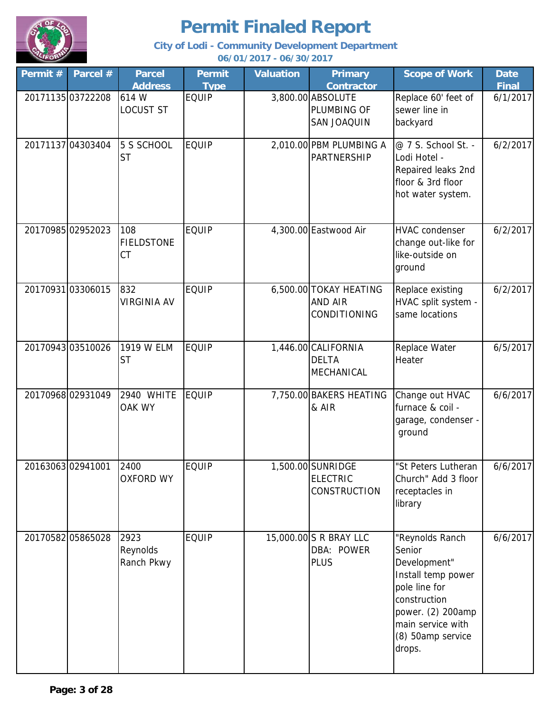

| Permit $#$ | Parcel #          | <b>Parcel</b><br><b>Address</b> | <b>Permit</b><br><b>Type</b> | <b>Valuation</b> | <b>Primary</b><br><b>Contractor</b>                         | <b>Scope of Work</b>                                                                                                                                                      | <b>Date</b><br><b>Final</b> |
|------------|-------------------|---------------------------------|------------------------------|------------------|-------------------------------------------------------------|---------------------------------------------------------------------------------------------------------------------------------------------------------------------------|-----------------------------|
|            | 20171135 03722208 | 614 W<br><b>LOCUST ST</b>       | <b>EQUIP</b>                 |                  | 3,800.00 ABSOLUTE<br>PLUMBING OF<br>SAN JOAQUIN             | Replace 60' feet of<br>sewer line in<br>backyard                                                                                                                          | 6/1/2017                    |
|            | 20171137 04303404 | 5 S SCHOOL<br><b>ST</b>         | <b>EQUIP</b>                 |                  | 2,010.00 PBM PLUMBING A<br><b>PARTNERSHIP</b>               | @ 7 S. School St. -<br>Lodi Hotel -<br>Repaired leaks 2nd<br>floor & 3rd floor<br>hot water system.                                                                       | 6/2/2017                    |
|            | 20170985 02952023 | 108<br><b>FIELDSTONE</b><br>CT  | <b>EQUIP</b>                 |                  | 4,300.00 Eastwood Air                                       | <b>HVAC</b> condenser<br>change out-like for<br>like-outside on<br>ground                                                                                                 | 6/2/2017                    |
|            | 2017093103306015  | 832<br><b>VIRGINIA AV</b>       | <b>EQUIP</b>                 |                  | 6,500.00 TOKAY HEATING<br><b>AND AIR</b><br>CONDITIONING    | Replace existing<br>HVAC split system -<br>same locations                                                                                                                 | 6/2/2017                    |
|            | 20170943 03510026 | 1919 W ELM<br><b>ST</b>         | <b>EQUIP</b>                 |                  | 1,446.00 CALIFORNIA<br><b>DELTA</b><br>MECHANICAL           | Replace Water<br>Heater                                                                                                                                                   | 6/5/2017                    |
|            | 2017096802931049  | 2940 WHITE<br>OAK WY            | <b>EQUIP</b>                 |                  | 7,750.00 BAKERS HEATING<br>& AIR                            | Change out HVAC<br>furnace & coil -<br>garage, condenser -<br>ground                                                                                                      | 6/6/2017                    |
|            | 2016306302941001  | 2400<br><b>OXFORD WY</b>        | <b>EQUIP</b>                 |                  | 1,500.00 SUNRIDGE<br><b>ELECTRIC</b><br><b>CONSTRUCTION</b> | "St Peters Lutheran<br>Church" Add 3 floor<br>receptacles in<br>library                                                                                                   | 6/6/2017                    |
|            | 20170582 05865028 | 2923<br>Reynolds<br>Ranch Pkwy  | <b>EQUIP</b>                 |                  | 15,000.00 S R BRAY LLC<br>DBA: POWER<br><b>PLUS</b>         | "Reynolds Ranch<br>Senior<br>Development"<br>Install temp power<br>pole line for<br>construction<br>power. (2) 200amp<br>main service with<br>(8) 50amp service<br>drops. | 6/6/2017                    |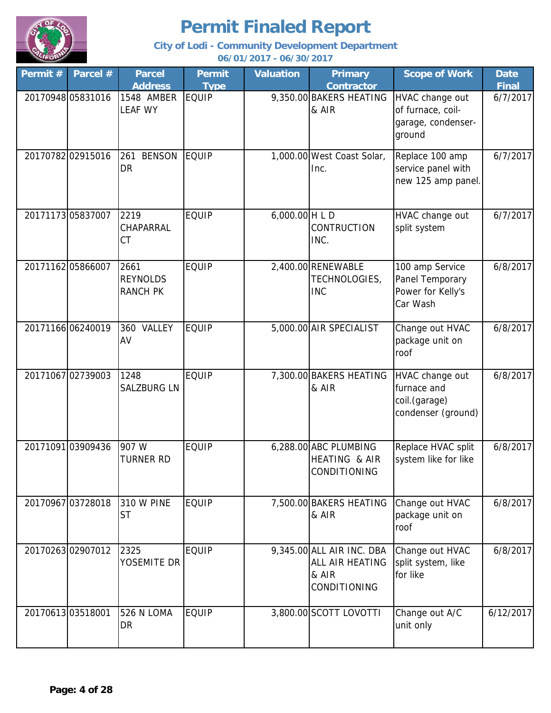

| Permit #         | Parcel #          | <b>Parcel</b><br><b>Address</b>            | <b>Permit</b><br><b>Type</b> | <b>Valuation</b> | <b>Primary</b><br><b>Contractor</b>                                   | <b>Scope of Work</b>                                                  | <b>Date</b><br><b>Final</b> |
|------------------|-------------------|--------------------------------------------|------------------------------|------------------|-----------------------------------------------------------------------|-----------------------------------------------------------------------|-----------------------------|
|                  | 20170948 05831016 | 1548 AMBER<br><b>LEAF WY</b>               | <b>EQUIP</b>                 |                  | 9,350.00 BAKERS HEATING<br>& AIR                                      | HVAC change out<br>of furnace, coil-<br>garage, condenser-<br>ground  | 6/7/2017                    |
|                  | 20170782 02915016 | <b>BENSON</b><br>261<br><b>DR</b>          | EQUIP                        |                  | 1,000.00 West Coast Solar,<br>Inc.                                    | Replace 100 amp<br>service panel with<br>new 125 amp panel.           | 6/7/2017                    |
|                  | 20171173 05837007 | 2219<br><b>CHAPARRAL</b><br><b>CT</b>      | <b>EQUIP</b>                 | 6,000.00 H L D   | <b>CONTRUCTION</b><br>INC.                                            | HVAC change out<br>split system                                       | 6/7/2017                    |
|                  | 2017116205866007  | 2661<br><b>REYNOLDS</b><br><b>RANCH PK</b> | <b>EQUIP</b>                 |                  | 2,400.00 RENEWABLE<br>TECHNOLOGIES,<br><b>INC</b>                     | 100 amp Service<br>Panel Temporary<br>Power for Kelly's<br>Car Wash   | 6/8/2017                    |
|                  | 20171166 06240019 | 360 VALLEY<br>AV                           | <b>EQUIP</b>                 |                  | 5,000.00 AIR SPECIALIST                                               | Change out HVAC<br>package unit on<br>roof                            | 6/8/2017                    |
|                  | 20171067 02739003 | 1248<br><b>SALZBURG LN</b>                 | <b>EQUIP</b>                 |                  | 7,300.00 BAKERS HEATING<br>& AIR                                      | HVAC change out<br>furnace and<br>coil.(garage)<br>condenser (ground) | 6/8/2017                    |
|                  | 20171091 03909436 | 907 W<br><b>TURNER RD</b>                  | <b>EQUIP</b>                 |                  | 6,288.00 ABC PLUMBING<br>HEATING & AIR<br>CONDITIONING                | Replace HVAC split<br>system like for like                            | 6/8/2017                    |
|                  | 20170967 03728018 | <b>310 W PINE</b><br><b>ST</b>             | <b>EQUIP</b>                 |                  | 7,500.00 BAKERS HEATING<br>& AIR                                      | Change out HVAC<br>package unit on<br>roof                            | 6/8/2017                    |
|                  | 2017026302907012  | 2325<br>YOSEMITE DR                        | <b>EQUIP</b>                 |                  | 9,345.00 ALL AIR INC. DBA<br>ALL AIR HEATING<br>& AIR<br>CONDITIONING | Change out HVAC<br>split system, like<br>for like                     | 6/8/2017                    |
| 2017061303518001 |                   | 526 N LOMA<br><b>DR</b>                    | <b>EQUIP</b>                 |                  | 3,800.00 SCOTT LOVOTTI                                                | Change out A/C<br>unit only                                           | 6/12/2017                   |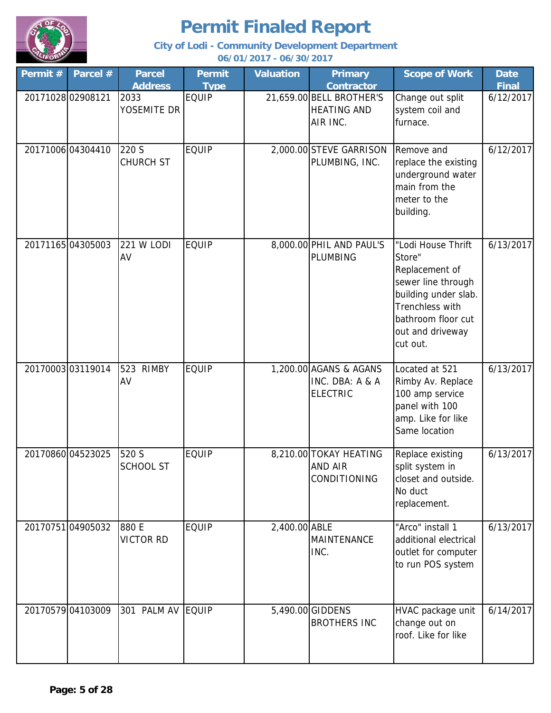

| Permit # | Parcel #          | <b>Parcel</b><br><b>Address</b> | Permit<br><b>Type</b> | <b>Valuation</b> | <b>Primary</b><br><b>Contractor</b>                          | <b>Scope of Work</b>                                                                                                                                                         | <b>Date</b><br><b>Final</b> |
|----------|-------------------|---------------------------------|-----------------------|------------------|--------------------------------------------------------------|------------------------------------------------------------------------------------------------------------------------------------------------------------------------------|-----------------------------|
|          | 20171028 02908121 | 2033<br>YOSEMITE DR             | <b>EQUIP</b>          |                  | 21,659.00 BELL BROTHER'S<br><b>HEATING AND</b><br>AIR INC.   | Change out split<br>system coil and<br>furnace.                                                                                                                              | 6/12/2017                   |
|          | 20171006 04304410 | 220 S<br><b>CHURCH ST</b>       | <b>EQUIP</b>          |                  | 2,000.00 STEVE GARRISON<br>PLUMBING, INC.                    | Remove and<br>replace the existing<br>underground water<br>main from the<br>meter to the<br>building.                                                                        | 6/12/2017                   |
|          | 20171165 04305003 | 221 W LODI<br>AV                | <b>EQUIP</b>          |                  | 8,000.00 PHIL AND PAUL'S<br><b>PLUMBING</b>                  | "Lodi House Thrift<br>Store"<br>Replacement of<br>sewer line through<br>building under slab.<br><b>Trenchless with</b><br>bathroom floor cut<br>out and driveway<br>cut out. | 6/13/2017                   |
|          | 2017000303119014  | 523 RIMBY<br>AV                 | <b>EQUIP</b>          |                  | 1,200.00 AGANS & AGANS<br>INC. DBA: A & A<br><b>ELECTRIC</b> | Located at 521<br>Rimby Av. Replace<br>100 amp service<br>panel with 100<br>amp. Like for like<br>Same location                                                              | 6/13/2017                   |
|          | 20170860 04523025 | 520 S<br>SCHOOL ST              | <b>EQUIP</b>          |                  | 8,210.00 TOKAY HEATING<br><b>AND AIR</b><br>CONDITIONING     | Replace existing<br>split system in<br>closet and outside.<br>No duct<br>replacement.                                                                                        | 6/13/2017                   |
|          | 2017075104905032  | 880 E<br><b>VICTOR RD</b>       | <b>EQUIP</b>          | 2,400.00 ABLE    | MAINTENANCE<br>INC.                                          | "Arco" install 1<br>additional electrical<br>outlet for computer<br>to run POS system                                                                                        | 6/13/2017                   |
|          | 20170579 04103009 | 301 PALM AV EQUIP               |                       |                  | 5,490.00 GIDDENS<br><b>BROTHERS INC</b>                      | HVAC package unit<br>change out on<br>roof. Like for like                                                                                                                    | 6/14/2017                   |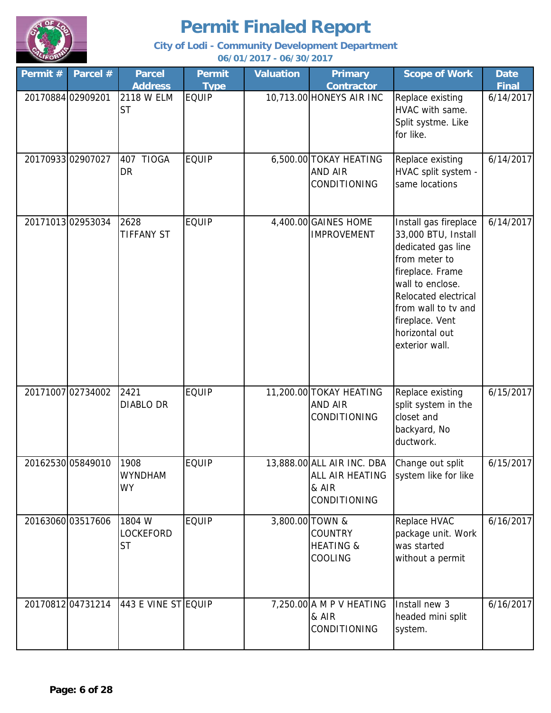

| Permit #          | Parcel #          | <b>Parcel</b><br><b>Address</b>         | <b>Permit</b><br><b>Type</b> | <b>Valuation</b> | <b>Primary</b><br><b>Contractor</b>                                    | <b>Scope of Work</b>                                                                                                                                                                                                              | <b>Date</b><br><b>Final</b> |
|-------------------|-------------------|-----------------------------------------|------------------------------|------------------|------------------------------------------------------------------------|-----------------------------------------------------------------------------------------------------------------------------------------------------------------------------------------------------------------------------------|-----------------------------|
| 20170884 02909201 |                   | 2118 W ELM<br><b>ST</b>                 | <b>EQUIP</b>                 |                  | 10,713.00 HONEYS AIR INC                                               | Replace existing<br>HVAC with same.<br>Split systme. Like<br>for like.                                                                                                                                                            | 6/14/2017                   |
|                   | 20170933 02907027 | 407 TIOGA<br><b>DR</b>                  | <b>EQUIP</b>                 |                  | 6,500.00 TOKAY HEATING<br>AND AIR<br>CONDITIONING                      | Replace existing<br>HVAC split system -<br>same locations                                                                                                                                                                         | 6/14/2017                   |
|                   | 20171013 02953034 | 2628<br><b>TIFFANY ST</b>               | <b>EQUIP</b>                 |                  | 4,400.00 GAINES HOME<br><b>IMPROVEMENT</b>                             | Install gas fireplace<br>33,000 BTU, Install<br>dedicated gas line<br>from meter to<br>fireplace. Frame<br>wall to enclose.<br>Relocated electrical<br>from wall to tv and<br>fireplace. Vent<br>horizontal out<br>exterior wall. | 6/14/2017                   |
|                   | 2017100702734002  | 2421<br><b>DIABLO DR</b>                | <b>EQUIP</b>                 |                  | 11,200.00 TOKAY HEATING<br><b>AND AIR</b><br>CONDITIONING              | Replace existing<br>split system in the<br>closet and<br>backyard, No<br>ductwork.                                                                                                                                                | 6/15/2017                   |
|                   | 20162530 05849010 | 1908<br><b>WYNDHAM</b><br><b>WY</b>     | <b>EQUIP</b>                 |                  | 13,888.00 ALL AIR INC. DBA<br>ALL AIR HEATING<br>& AIR<br>CONDITIONING | Change out split<br>system like for like                                                                                                                                                                                          | 6/15/2017                   |
|                   | 20163060 03517606 | 1804 W<br><b>LOCKEFORD</b><br><b>ST</b> | <b>EQUIP</b>                 |                  | 3,800.00 TOWN &<br><b>COUNTRY</b><br><b>HEATING &amp;</b><br>COOLING   | Replace HVAC<br>package unit. Work<br>was started<br>without a permit                                                                                                                                                             | 6/16/2017                   |
|                   | 20170812 04731214 | 443 E VINE ST EQUIP                     |                              |                  | 7,250.00 A M P V HEATING<br>& AIR<br>CONDITIONING                      | Install new 3<br>headed mini split<br>system.                                                                                                                                                                                     | 6/16/2017                   |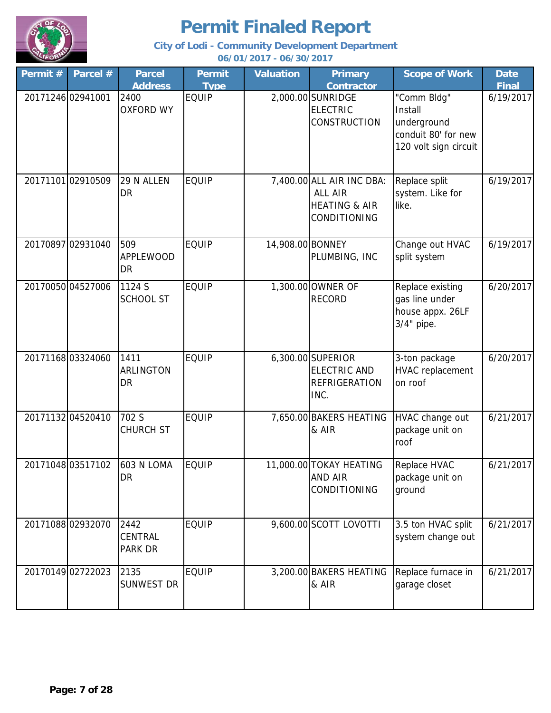

**City of Lodi - Community Development Department**

**06/01/2017 - 06/30/2017**

| Permit # | Parcel #          | <b>Parcel</b>                              | <b>Permit</b>               | <b>Valuation</b> | <b>Primary</b><br><b>Contractor</b>                                              | <b>Scope of Work</b>                                                                  | <b>Date</b><br><b>Final</b> |
|----------|-------------------|--------------------------------------------|-----------------------------|------------------|----------------------------------------------------------------------------------|---------------------------------------------------------------------------------------|-----------------------------|
|          | 20171246 02941001 | <b>Address</b><br>2400<br><b>OXFORD WY</b> | <b>Type</b><br><b>EQUIP</b> |                  | 2,000.00 SUNRIDGE<br><b>ELECTRIC</b><br><b>CONSTRUCTION</b>                      | "Comm Bldg"<br>Install<br>underground<br>conduit 80' for new<br>120 volt sign circuit | 6/19/2017                   |
|          | 20171101 02910509 | 29 N ALLEN<br>DR                           | <b>EQUIP</b>                |                  | 7,400.00 ALL AIR INC DBA:<br>ALL AIR<br><b>HEATING &amp; AIR</b><br>CONDITIONING | Replace split<br>system. Like for<br>like.                                            | 6/19/2017                   |
|          | 20170897 02931040 | 509<br><b>APPLEWOOD</b><br>DR              | <b>EQUIP</b>                | 14,908.00 BONNEY | PLUMBING, INC                                                                    | Change out HVAC<br>split system                                                       | 6/19/2017                   |
|          | 20170050 04527006 | 1124 S<br><b>SCHOOL ST</b>                 | <b>EQUIP</b>                |                  | 1,300.00 OWNER OF<br><b>RECORD</b>                                               | Replace existing<br>gas line under<br>house appx. 26LF<br>$3/4"$ pipe.                | 6/20/2017                   |
|          | 2017116803324060  | 1411<br>ARLINGTON<br>DR                    | <b>EQUIP</b>                |                  | 6,300.00 SUPERIOR<br><b>ELECTRIC AND</b><br><b>REFRIGERATION</b><br>INC.         | 3-ton package<br>HVAC replacement<br>on roof                                          | 6/20/2017                   |
|          | 20171132 04520410 | 702 S<br><b>CHURCH ST</b>                  | <b>EQUIP</b>                |                  | 7,650.00 BAKERS HEATING<br>& AIR                                                 | HVAC change out<br>package unit on<br>roof                                            | 6/21/2017                   |
|          | 20171048 03517102 | <b>603 N LOMA</b><br>DR                    | <b>EQUIP</b>                |                  | 11,000.00 TOKAY HEATING<br>AND AIR<br>CONDITIONING                               | Replace HVAC<br>package unit on<br>ground                                             | 6/21/2017                   |
|          | 2017108802932070  | 2442<br>CENTRAL<br>PARK DR                 | <b>EQUIP</b>                |                  | 9,600.00 SCOTT LOVOTTI                                                           | 3.5 ton HVAC split<br>system change out                                               | 6/21/2017                   |
|          | 20170149 02722023 | 2135<br>SUNWEST DR                         | <b>EQUIP</b>                |                  | 3,200.00 BAKERS HEATING<br>& AIR                                                 | Replace furnace in<br>garage closet                                                   | 6/21/2017                   |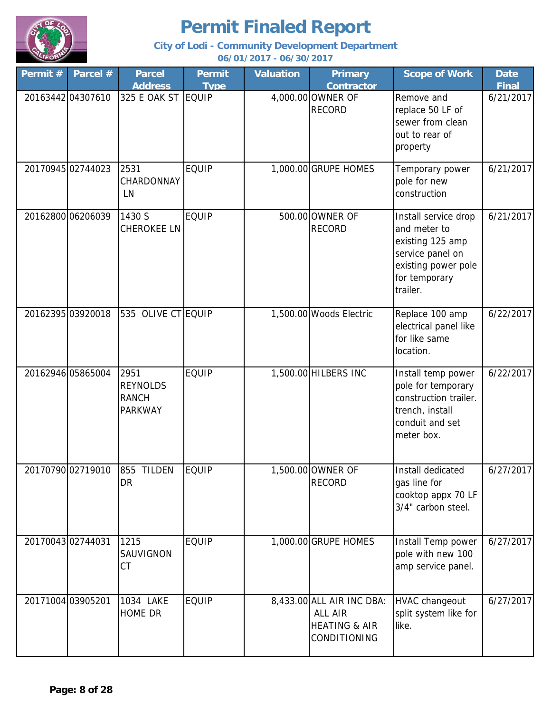

**City of Lodi - Community Development Department 06/01/2017 - 06/30/2017**

**Permit # Parcel # Permit Type Valuation Primary Contractor Scope of Work | Date Final Parcel Address** 20163442 04307610 325 E OAK ST EQUIP 4,000.00 OWNER OF RECORD Remove and replace 50 LF of sewer from clean out to rear of property 6/21/2017 20170945 02744023 2531 EQUIP 1,000.00 GRUPE HOMES Temporary power pole for new construction 6/21/2017 20162800 06206039 1430 S EQUIP 500.00 OWNER OF RECORD Install service drop and meter to existing 125 amp service panel on existing power pole for temporary trailer. 6/21/2017  $20162395 | 03920018$  535 OLIVE CT EQUIP 1,500.00 Woods Electric Replace 100 amp electrical panel like for like same location. 6/22/2017 20162946 05865004 2951 EQUIP | 1,500.00 HILBERS INC | Install temp power pole for temporary construction trailer. trench, install conduit and set meter box. 6/22/2017 20170790 02719010 855 TILDEN EQUIP 1,500.00 OWNER OF RECORD Install dedicated gas line for cooktop appx 70 LF 3/4" carbon steel. 6/27/2017 20170043 02744031 EQUIP 1,000.00 GRUPE HOMES Install Temp power pole with new 100 amp service panel. 6/27/2017 20171004 03905201 | 1034 LAKE | EQUIP | 8,433.00 ALL AIR INC DBA: | HVAC changeout | 6/27/2017 ALL AIR HEATING & AIR CONDITIONING HVAC changeout split system like for like. HOME DR 1430 S CHEROKEE LN 535 OLIVE CT FOULP 2951 REYNOLDS RANCH PARKWAY 855 TILDEN DR 1215 SAUVIGNON CT 325 E OAK ST 2531 **CHARDONNAY** LN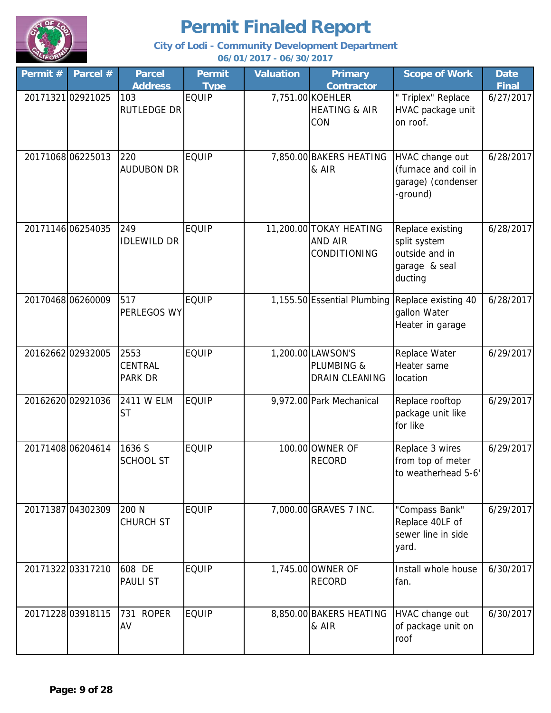

| Permit # | Parcel #          | <b>Parcel</b>                     | <b>Permit</b> | <b>Valuation</b> | <b>Primary</b>                                           | <b>Scope of Work</b>                                                           | <b>Date</b>  |
|----------|-------------------|-----------------------------------|---------------|------------------|----------------------------------------------------------|--------------------------------------------------------------------------------|--------------|
|          |                   | <b>Address</b>                    | <b>Type</b>   |                  | <b>Contractor</b>                                        |                                                                                | <b>Final</b> |
|          | 2017132102921025  | 103<br><b>RUTLEDGE DR</b>         | <b>EQUIP</b>  |                  | 7,751.00 KOEHLER<br><b>HEATING &amp; AIR</b><br>CON      | " Triplex" Replace<br>HVAC package unit<br>on roof.                            | 6/27/2017    |
|          | 2017106806225013  | 220<br><b>AUDUBON DR</b>          | <b>EQUIP</b>  |                  | 7,850.00 BAKERS HEATING<br>& AIR                         | HVAC change out<br>(furnace and coil in<br>garage) (condenser<br>-ground)      | 6/28/2017    |
|          | 20171146 06254035 | 249<br><b>IDLEWILD DR</b>         | <b>EQUIP</b>  |                  | 11,200.00 TOKAY HEATING<br>AND AIR<br>CONDITIONING       | Replace existing<br>split system<br>outside and in<br>garage & seal<br>ducting | 6/28/2017    |
|          | 2017046806260009  | 517<br>PERLEGOS WY                | <b>EQUIP</b>  |                  | 1,155.50 Essential Plumbing                              | Replace existing 40<br>gallon Water<br>Heater in garage                        | 6/28/2017    |
|          | 20162662 02932005 | 2553<br><b>CENTRAL</b><br>PARK DR | <b>EQUIP</b>  |                  | 1,200.00 LAWSON'S<br>PLUMBING &<br><b>DRAIN CLEANING</b> | Replace Water<br>Heater same<br>location                                       | 6/29/2017    |
|          | 20162620 02921036 | 2411 W ELM<br><b>ST</b>           | <b>EQUIP</b>  |                  | 9,972.00 Park Mechanical                                 | Replace rooftop<br>package unit like<br>for like                               | 6/29/2017    |
|          | 20171408 06204614 | 1636 S<br><b>SCHOOL ST</b>        | <b>EQUIP</b>  |                  | 100.00 OWNER OF<br><b>RECORD</b>                         | Replace 3 wires<br>from top of meter<br>to weatherhead 5-6'                    | 6/29/2017    |
|          | 20171387 04302309 | 200 N<br><b>CHURCH ST</b>         | <b>EQUIP</b>  |                  | 7,000.00 GRAVES 7 INC.                                   | "Compass Bank"<br>Replace 40LF of<br>sewer line in side<br>yard.               | 6/29/2017    |
|          | 20171322 03317210 | 608 DE<br>PAULI ST                | <b>EQUIP</b>  |                  | 1,745.00 OWNER OF<br><b>RECORD</b>                       | Install whole house<br>fan.                                                    | 6/30/2017    |
|          | 2017122803918115  | <b>ROPER</b><br>731<br>AV         | <b>EQUIP</b>  |                  | 8,850.00 BAKERS HEATING<br>& AIR                         | HVAC change out<br>of package unit on<br>roof                                  | 6/30/2017    |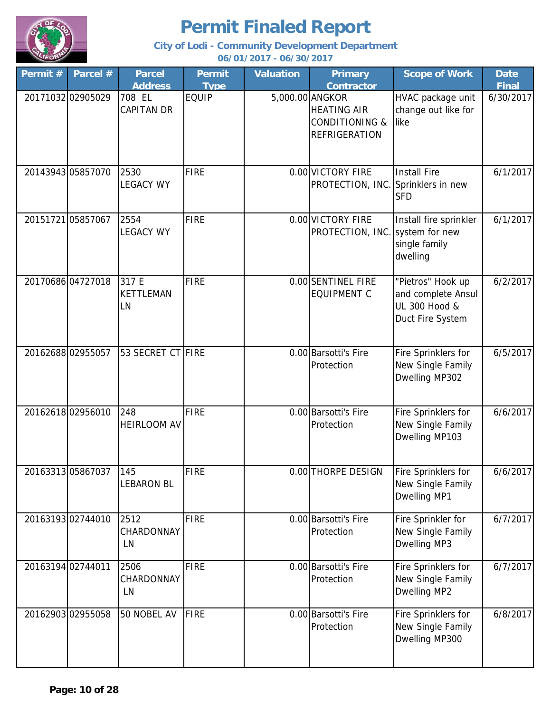

| Permit # | Parcel #          | <b>Parcel</b>                   | <b>Permit</b> | <b>Valuation</b> | <b>Primary</b>                                                                             | <b>Scope of Work</b>                                                         | <b>Date</b>  |
|----------|-------------------|---------------------------------|---------------|------------------|--------------------------------------------------------------------------------------------|------------------------------------------------------------------------------|--------------|
|          |                   | <b>Address</b>                  | <b>Type</b>   |                  | <b>Contractor</b>                                                                          |                                                                              | <b>Final</b> |
|          | 20171032 02905029 | 708 EL<br><b>CAPITAN DR</b>     | <b>EQUIP</b>  |                  | 5,000.00 ANGKOR<br><b>HEATING AIR</b><br><b>CONDITIONING &amp;</b><br><b>REFRIGERATION</b> | HVAC package unit<br>change out like for<br>like                             | 6/30/2017    |
|          | 20143943 05857070 | 2530<br><b>LEGACY WY</b>        | <b>FIRE</b>   |                  | 0.00 VICTORY FIRE<br>PROTECTION, INC. Sprinklers in new                                    | <b>Install Fire</b><br><b>SFD</b>                                            | 6/1/2017     |
|          | 20151721 05857067 | 2554<br><b>LEGACY WY</b>        | <b>FIRE</b>   |                  | 0.00 VICTORY FIRE<br>PROTECTION, INC.                                                      | Install fire sprinkler<br>system for new<br>single family<br>dwelling        | 6/1/2017     |
|          | 20170686 04727018 | 317 E<br><b>KETTLEMAN</b><br>LN | <b>FIRE</b>   |                  | 0.00 SENTINEL FIRE<br><b>EQUIPMENT C</b>                                                   | "Pietros" Hook up<br>and complete Ansul<br>UL 300 Hood &<br>Duct Fire System | 6/2/2017     |
|          | 20162688 02955057 | 53 SECRET CT FIRE               |               |                  | 0.00 Barsotti's Fire<br>Protection                                                         | Fire Sprinklers for<br>New Single Family<br>Dwelling MP302                   | 6/5/2017     |
|          | 20162618 02956010 | 248<br><b>HEIRLOOM AV</b>       | <b>FIRE</b>   |                  | 0.00 Barsotti's Fire<br>Protection                                                         | Fire Sprinklers for<br>New Single Family<br>Dwelling MP103                   | 6/6/2017     |
|          | 2016331305867037  | 145<br><b>LEBARON BL</b>        | <b>FIRE</b>   |                  | 0.00 THORPE DESIGN                                                                         | Fire Sprinklers for<br>New Single Family<br>Dwelling MP1                     | 6/6/2017     |
|          | 2016319302744010  | 2512<br>CHARDONNAY<br>LN        | <b>FIRE</b>   |                  | 0.00 Barsotti's Fire<br>Protection                                                         | Fire Sprinkler for<br>New Single Family<br>Dwelling MP3                      | 6/7/2017     |
|          | 20163194 02744011 | 2506<br>CHARDONNAY<br>LN        | <b>FIRE</b>   |                  | 0.00 Barsotti's Fire<br>Protection                                                         | Fire Sprinklers for<br>New Single Family<br>Dwelling MP2                     | 6/7/2017     |
|          | 20162903 02955058 | 50 NOBEL AV                     | <b>FIRE</b>   |                  | 0.00 Barsotti's Fire<br>Protection                                                         | Fire Sprinklers for<br>New Single Family<br>Dwelling MP300                   | 6/8/2017     |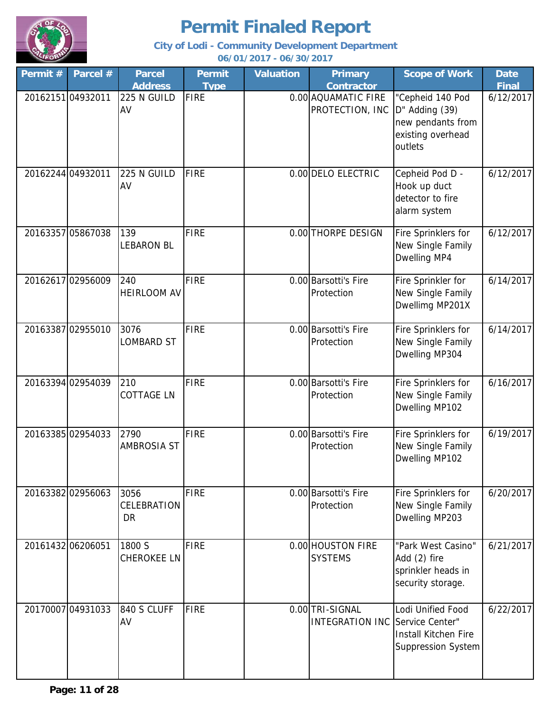

| Permit # | Parcel #          | <b>Parcel</b>                    | <b>Permit</b> | <b>Valuation</b> | <b>Primary</b>                                            | <b>Scope of Work</b>                                                                    | <b>Date</b>  |
|----------|-------------------|----------------------------------|---------------|------------------|-----------------------------------------------------------|-----------------------------------------------------------------------------------------|--------------|
|          |                   | <b>Address</b>                   | <b>Type</b>   |                  | <b>Contractor</b>                                         |                                                                                         | <b>Final</b> |
|          | 20162151 04932011 | 225 N GUILD<br>AV                | <b>FIRE</b>   |                  | 0.00 AQUAMATIC FIRE<br>PROTECTION, INC                    | "Cepheid 140 Pod<br>D" Adding (39)<br>new pendants from<br>existing overhead<br>outlets | 6/12/2017    |
|          | 20162244 04932011 | 225 N GUILD<br>AV                | <b>FIRE</b>   |                  | 0.00 DELO ELECTRIC                                        | Cepheid Pod D -<br>Hook up duct<br>detector to fire<br>alarm system                     | 6/12/2017    |
|          | 20163357 05867038 | 139<br><b>LEBARON BL</b>         | <b>FIRE</b>   |                  | 0.00 THORPE DESIGN                                        | Fire Sprinklers for<br>New Single Family<br>Dwelling MP4                                | 6/12/2017    |
|          | 20162617 02956009 | 240<br><b>HEIRLOOM AV</b>        | <b>FIRE</b>   |                  | 0.00 Barsotti's Fire<br>Protection                        | Fire Sprinkler for<br>New Single Family<br>Dwellimg MP201X                              | 6/14/2017    |
|          | 20163387 02955010 | 3076<br><b>LOMBARD ST</b>        | <b>FIRE</b>   |                  | 0.00 Barsotti's Fire<br>Protection                        | Fire Sprinklers for<br>New Single Family<br>Dwelling MP304                              | 6/14/2017    |
|          | 20163394 02954039 | 210<br><b>COTTAGE LN</b>         | <b>FIRE</b>   |                  | 0.00 Barsotti's Fire<br>Protection                        | Fire Sprinklers for<br>New Single Family<br>Dwelling MP102                              | 6/16/2017    |
|          | 20163385 02954033 | 2790<br><b>AMBROSIA ST</b>       | <b>FIRE</b>   |                  | 0.00 Barsotti's Fire<br>Protection                        | Fire Sprinklers for<br>New Single Family<br>Dwelling MP102                              | 6/19/2017    |
|          | 20163382 02956063 | 3056<br><b>CELEBRATION</b><br>DR | <b>FIRE</b>   |                  | 0.00 Barsotti's Fire<br>Protection                        | Fire Sprinklers for<br>New Single Family<br>Dwelling MP203                              | 6/20/2017    |
|          | 20161432 06206051 | 1800 S<br><b>CHEROKEE LN</b>     | <b>FIRE</b>   |                  | 0.00 HOUSTON FIRE<br><b>SYSTEMS</b>                       | "Park West Casino"<br>Add (2) fire<br>sprinkler heads in<br>security storage.           | 6/21/2017    |
|          | 20170007 04931033 | 840 S CLUFF<br>AV                | FIRE          |                  | 0.00 TRI-SIGNAL<br><b>INTEGRATION INC Service Center"</b> | Lodi Unified Food<br><b>Install Kitchen Fire</b><br>Suppression System                  | 6/22/2017    |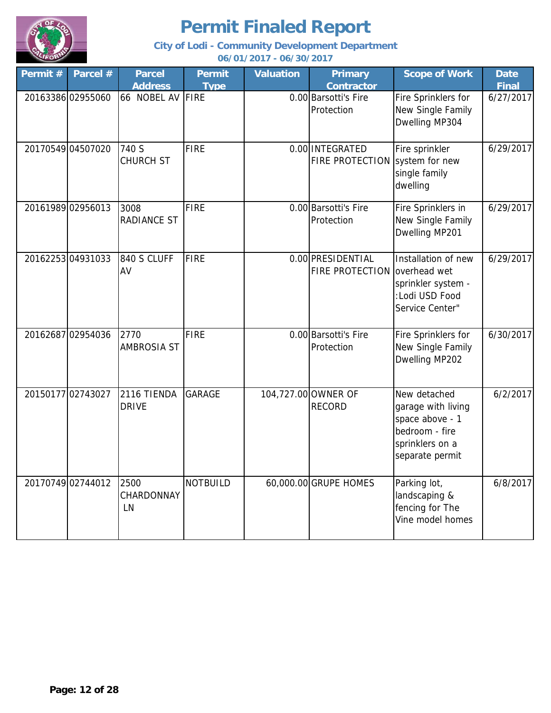

| Permit # | Parcel #          | <b>Parcel</b><br><b>Address</b> | <b>Permit</b><br><b>Type</b> | <b>Valuation</b> | <b>Primary</b><br><b>Contractor</b>               | <b>Scope of Work</b>                                                                                          | <b>Date</b><br><b>Final</b> |
|----------|-------------------|---------------------------------|------------------------------|------------------|---------------------------------------------------|---------------------------------------------------------------------------------------------------------------|-----------------------------|
|          | 20163386 02955060 | 66 NOBEL AV FIRE                |                              |                  | 0.00 Barsotti's Fire<br>Protection                | Fire Sprinklers for<br>New Single Family<br>Dwelling MP304                                                    | 6/27/2017                   |
|          | 20170549 04507020 | 740 S<br><b>CHURCH ST</b>       | <b>FIRE</b>                  |                  | 0.00 INTEGRATED<br>FIRE PROTECTION                | Fire sprinkler<br>system for new<br>single family<br>dwelling                                                 | 6/29/2017                   |
|          | 20161989 02956013 | 3008<br><b>RADIANCE ST</b>      | <b>FIRE</b>                  |                  | 0.00 Barsotti's Fire<br>Protection                | Fire Sprinklers in<br>New Single Family<br>Dwelling MP201                                                     | 6/29/2017                   |
|          | 2016225304931033  | 840 S CLUFF<br>AV               | <b>FIRE</b>                  |                  | 0.00 PRESIDENTIAL<br>FIRE PROTECTION overhead wet | Installation of new<br>sprinkler system -<br>:Lodi USD Food<br>Service Center"                                | 6/29/2017                   |
|          | 20162687 02954036 | 2770<br><b>AMBROSIA ST</b>      | <b>FIRE</b>                  |                  | 0.00 Barsotti's Fire<br>Protection                | Fire Sprinklers for<br>New Single Family<br>Dwelling MP202                                                    | 6/30/2017                   |
|          | 2015017702743027  | 2116 TIENDA<br><b>DRIVE</b>     | <b>GARAGE</b>                |                  | 104,727.00 OWNER OF<br><b>RECORD</b>              | New detached<br>garage with living<br>space above - 1<br>bedroom - fire<br>sprinklers on a<br>separate permit | 6/2/2017                    |
|          | 2017074902744012  | 2500<br>CHARDONNAY<br>LN        | <b>NOTBUILD</b>              |                  | 60,000.00 GRUPE HOMES                             | Parking lot,<br>landscaping &<br>fencing for The<br>Vine model homes                                          | 6/8/2017                    |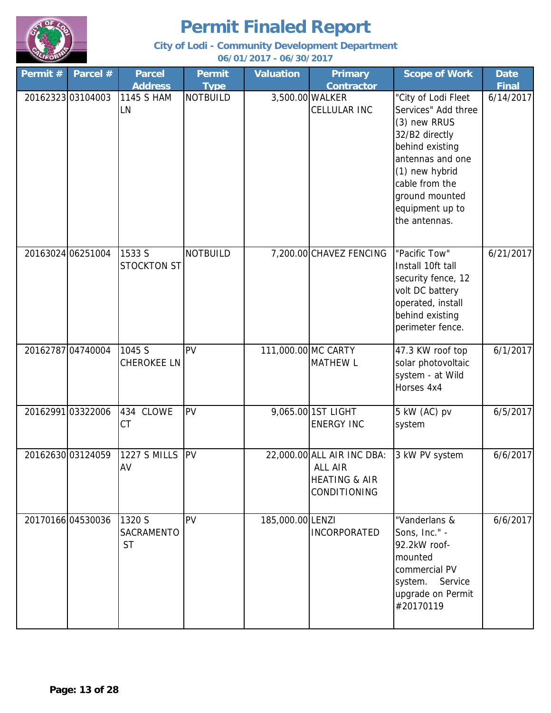

| Permit # | Parcel #          | <b>Parcel</b>                     | <b>Permit</b>   | <b>Valuation</b>    | <b>Primary</b>                                                                           | <b>Scope of Work</b>                                                                                                                                                                         | <b>Date</b>  |
|----------|-------------------|-----------------------------------|-----------------|---------------------|------------------------------------------------------------------------------------------|----------------------------------------------------------------------------------------------------------------------------------------------------------------------------------------------|--------------|
|          |                   | <b>Address</b>                    | <b>Type</b>     |                     | <b>Contractor</b>                                                                        |                                                                                                                                                                                              | <b>Final</b> |
|          | 2016232303104003  | 1145 S HAM<br>LN                  | <b>NOTBUILD</b> | 3,500.00 WALKER     | CELLULAR INC                                                                             | "City of Lodi Fleet<br>Services" Add three<br>(3) new RRUS<br>32/B2 directly<br>behind existing<br>antennas and one<br>(1) new hybrid<br>cable from the<br>ground mounted<br>equipment up to | 6/14/2017    |
|          | 20163024 06251004 | 1533 S                            | <b>NOTBUILD</b> |                     | 7,200.00 CHAVEZ FENCING                                                                  | the antennas.<br>"Pacific Tow"                                                                                                                                                               | 6/21/2017    |
|          |                   | <b>STOCKTON ST</b>                |                 |                     |                                                                                          | Install 10ft tall<br>security fence, 12<br>volt DC battery<br>operated, install<br>behind existing<br>perimeter fence.                                                                       |              |
|          | 20162787 04740004 | 1045 S<br><b>CHEROKEE LN</b>      | PV              | 111,000.00 MC CARTY | <b>MATHEW L</b>                                                                          | 47.3 KW roof top<br>solar photovoltaic<br>system - at Wild<br>Horses 4x4                                                                                                                     | 6/1/2017     |
|          | 20162991 03322006 | 434 CLOWE<br><b>CT</b>            | PV              |                     | 9,065.00 1ST LIGHT<br><b>ENERGY INC</b>                                                  | 5 kW (AC) pv<br>system                                                                                                                                                                       | 6/5/2017     |
|          | 20162630 03124059 | <b>1227 S MILLS</b><br>AV         | PV              |                     | 22,000.00 ALL AIR INC DBA:<br>ALL AIR<br><b>HEATING &amp; AIR</b><br><b>CONDITIONING</b> | 3 kW PV system                                                                                                                                                                               | 6/6/2017     |
|          | 2017016604530036  | 1320 S<br>SACRAMENTO<br><b>ST</b> | PV              | 185,000.00 LENZI    | <b>INCORPORATED</b>                                                                      | "Vanderlans &<br>Sons, Inc." -<br>92.2kW roof-<br>mounted<br>commercial PV<br>system.<br>Service<br>upgrade on Permit<br>#20170119                                                           | 6/6/2017     |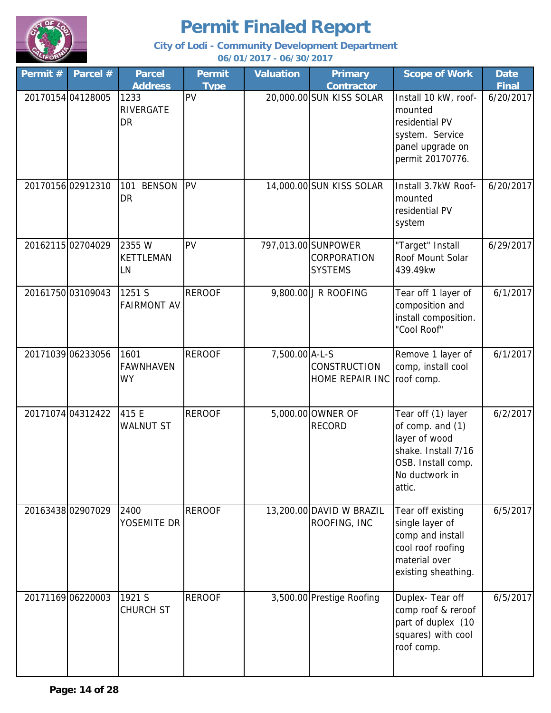

**City of Lodi - Community Development Department**

**06/01/2017 - 06/30/2017**

| Permit # | Parcel #          | <b>Parcel</b>                         | <b>Permit</b> | <b>Valuation</b> | <b>Primary</b>                                       | <b>Scope of Work</b>                                                                                                             | <b>Date</b>  |
|----------|-------------------|---------------------------------------|---------------|------------------|------------------------------------------------------|----------------------------------------------------------------------------------------------------------------------------------|--------------|
|          |                   | <b>Address</b>                        | <b>Type</b>   |                  | <b>Contractor</b>                                    |                                                                                                                                  | <b>Final</b> |
|          | 20170154 04128005 | 1233<br>RIVERGATE<br>DR               | PV            |                  | 20,000.00 SUN KISS SOLAR                             | Install 10 kW, roof-<br>mounted<br>residential PV<br>system. Service<br>panel upgrade on<br>permit 20170776.                     | 6/20/2017    |
|          | 20170156 02912310 | <b>BENSON</b><br>101<br><b>DR</b>     | <b>PV</b>     |                  | 14,000.00 SUN KISS SOLAR                             | Install 3.7kW Roof-<br>mounted<br>residential PV<br>system                                                                       | 6/20/2017    |
|          | 2016211502704029  | 2355 W<br><b>KETTLEMAN</b><br>LN      | PV            |                  | 797,013.00 SUNPOWER<br>CORPORATION<br><b>SYSTEMS</b> | "Target" Install<br>Roof Mount Solar<br>439.49kw                                                                                 | 6/29/2017    |
|          | 20161750 03109043 | 1251 S<br><b>FAIRMONT AV</b>          | <b>REROOF</b> |                  | 9,800.00 J R ROOFING                                 | Tear off 1 layer of<br>composition and<br>install composition.<br>"Cool Roof"                                                    | 6/1/2017     |
|          | 20171039 06233056 | 1601<br><b>FAWNHAVEN</b><br><b>WY</b> | <b>REROOF</b> | 7,500.00 A-L-S   | <b>CONSTRUCTION</b><br>HOME REPAIR INC               | Remove 1 layer of<br>comp, install cool<br>roof comp.                                                                            | 6/1/2017     |
|          | 20171074 04312422 | 415 E<br><b>WALNUT ST</b>             | <b>REROOF</b> |                  | 5,000.00 OWNER OF<br><b>RECORD</b>                   | Tear off (1) layer<br>of comp. and (1)<br>layer of wood<br>shake. Install 7/16<br>OSB. Install comp.<br>No ductwork in<br>attic. | 6/2/2017     |
|          | 20163438 02907029 | 2400<br>YOSEMITE DR                   | <b>REROOF</b> |                  | 13,200.00 DAVID W BRAZIL<br>ROOFING, INC             | Tear off existing<br>single layer of<br>comp and install<br>cool roof roofing<br>material over<br>existing sheathing.            | 6/5/2017     |
|          | 20171169 06220003 | 1921 S<br><b>CHURCH ST</b>            | <b>REROOF</b> |                  | 3,500.00 Prestige Roofing                            | Duplex- Tear off<br>comp roof & reroof<br>part of duplex (10<br>squares) with cool<br>roof comp.                                 | 6/5/2017     |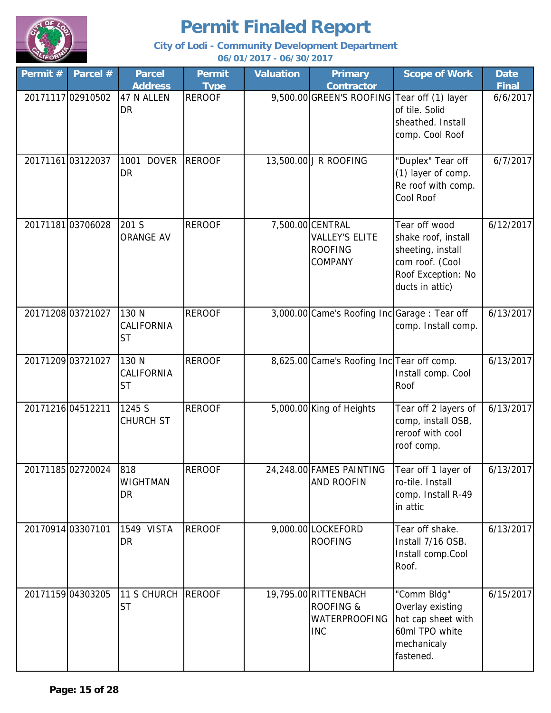

**City of Lodi - Community Development Department 06/01/2017 - 06/30/2017**

**Permit # Parcel # Permit Type Valuation Primary Contractor Scope of Work | Date Final Parcel Address** 20171117 02910502 47 N ALLEN REROOF 9,500.00 GREEN'S ROOFING Tear off (1) layer of tile. Solid sheathed. Install comp. Cool Roof 6/6/2017 20171161 03122037 1001 DOVER REROOF | 13,500.00 J R ROOFING | "Duplex" Tear off (1) layer of comp. Re roof with comp. Cool Roof 6/7/2017 2017118103706028 201 S REROOF 7,500.00 CENTRAL VALLEY'S ELITE ROOFING COMPANY Tear off wood shake roof, install sheeting, install com roof. (Cool Roof Exception: No ducts in attic) 6/12/2017 20171208 03721027 | 130 N REROOF | 3,000.00 Came's Roofing Inc Garage : Tear off comp. Install comp. 6/13/2017 20171209 03721027 | 130 N REROOF | 8,625.00 Came's Roofing Inc Tear off comp. Install comp. Cool Roof 6/13/2017 20171216 04512211 1245 S REROOF 5,000.00 King of Heights Tear off 2 layers of comp, install OSB, reroof with cool roof comp. 6/13/2017 20171185 02720024 818 REROOF 24,248.00 FAMES PAINTING AND ROOFIN Tear off 1 layer of ro-tile. Install comp. Install R-49 in attic 6/13/2017 20170914 03307101 1549 VISTA REROOF | 9,000.00 LOCKEFORD ROOFING Tear off shake. Install 7/16 OSB. Install comp.Cool Roof. 6/13/2017 20171159|04303205 |11 S CHURCH |REROOF | 19,795.00|RITTENBACH | "Comm Bldg" | 6/15/2017 ROOFING & WATERPROOFING INC "Comm Bldg" Overlay existing hot cap sheet with 60ml TPO white mechanicaly fastened. **ST** 130 N CALIFORNIA **ST** 130 N CALIFORNIA **ST** 1245 S CHURCH ST 818 WIGHTMAN DR 1549 VISTA DR 47 N ALLEN DR 1001 DOVER DR 201 S ORANGE AV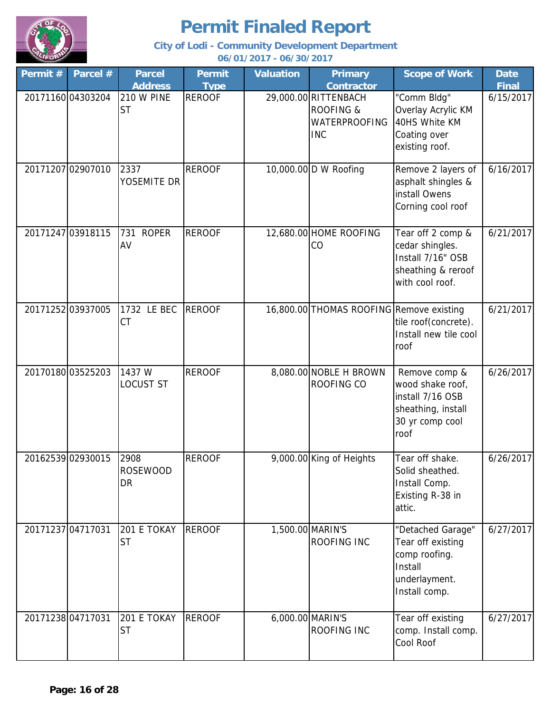

| Permit #          | Parcel #          | <b>Parcel</b>                 | <b>Permit</b> | <b>Valuation</b> | <b>Primary</b>                                                                     | <b>Scope of Work</b>                                                                                   | <b>Date</b>  |
|-------------------|-------------------|-------------------------------|---------------|------------------|------------------------------------------------------------------------------------|--------------------------------------------------------------------------------------------------------|--------------|
|                   |                   | <b>Address</b>                | <b>Type</b>   |                  | <b>Contractor</b>                                                                  |                                                                                                        | <b>Final</b> |
|                   | 2017116004303204  | 210 W PINE<br><b>ST</b>       | <b>REROOF</b> |                  | 29,000.00 RITTENBACH<br><b>ROOFING &amp;</b><br><b>WATERPROOFING</b><br><b>INC</b> | "Comm Bldg"<br>Overlay Acrylic KM<br>40HS White KM<br>Coating over<br>existing roof.                   | 6/15/2017    |
|                   | 20171207 02907010 | 2337<br>YOSEMITE DR           | <b>REROOF</b> |                  | 10,000.00 D W Roofing                                                              | Remove 2 layers of<br>asphalt shingles &<br>install Owens<br>Corning cool roof                         | 6/16/2017    |
| 20171247 03918115 |                   | <b>ROPER</b><br>731<br>AV     | <b>REROOF</b> |                  | 12,680.00 HOME ROOFING<br>CO                                                       | Tear off 2 comp &<br>cedar shingles.<br>Install 7/16" OSB<br>sheathing & reroof<br>with cool roof.     | 6/21/2017    |
| 20171252 03937005 |                   | 1732 LE BEC<br><b>CT</b>      | <b>REROOF</b> |                  | 16,800.00 THOMAS ROOFING Remove existing                                           | tile roof(concrete).<br>Install new tile cool<br>roof                                                  | 6/21/2017    |
|                   | 20170180 03525203 | 1437 W<br><b>LOCUST ST</b>    | <b>REROOF</b> |                  | 8,080.00 NOBLE H BROWN<br>ROOFING CO                                               | Remove comp &<br>wood shake roof,<br>install 7/16 OSB<br>sheathing, install<br>30 yr comp cool<br>roof | 6/26/2017    |
| 20162539 02930015 |                   | 2908<br><b>ROSEWOOD</b><br>DR | <b>REROOF</b> |                  | 9,000.00 King of Heights                                                           | Tear off shake.<br>Solid sheathed.<br>Install Comp.<br>Existing R-38 in<br>attic.                      | 6/26/2017    |
| 20171237 04717031 |                   | 201 E TOKAY<br><b>ST</b>      | <b>REROOF</b> |                  | 1,500.00 MARIN'S<br>ROOFING INC                                                    | "Detached Garage"<br>Tear off existing<br>comp roofing.<br>Install<br>underlayment.<br>Install comp.   | 6/27/2017    |
| 20171238 04717031 |                   | 201 E TOKAY<br><b>ST</b>      | <b>REROOF</b> |                  | 6,000.00 MARIN'S<br>ROOFING INC                                                    | Tear off existing<br>comp. Install comp.<br>Cool Roof                                                  | 6/27/2017    |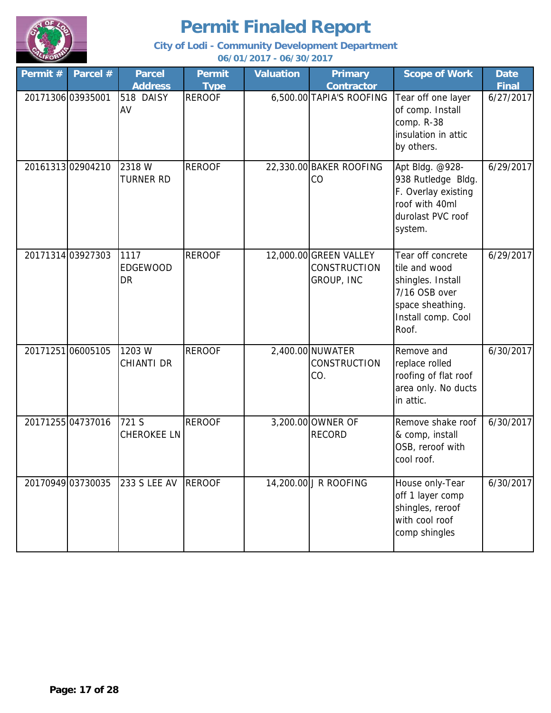

**City of Lodi - Community Development Department 06/01/2017 - 06/30/2017**

**Permit # Parcel # Parcel Permit Type Valuation Primary Contractor Scope of Work | Date Final Parcel Address** 20171306 03935001 518 DAISY REROOF 6,500.00 TAPIA'S ROOFING Tear off one layer of comp. Install comp. R-38 insulation in attic by others. 6/27/2017 20161313 02904210 REROOF 22,330.00 BAKER ROOFING CO Apt Bldg. @928- 938 Rutledge Bldg. F. Overlay existing roof with 40ml durolast PVC roof system. 6/29/2017 20171314 03927303 1117 REROOF 1 12,000.00 GREEN VALLEY CONSTRUCTION GROUP, INC Tear off concrete tile and wood shingles. Install 7/16 OSB over space sheathing. Install comp. Cool Roof. 6/29/2017 20171251 06005105 1203 W REROOF | 2,400.00 NUWATER **CONSTRUCTION** CO. Remove and replace rolled roofing of flat roof area only. No ducts in attic. 6/30/2017 20171255 04737016 721 S REROOF 3,200.00 OWNER OF RECORD Remove shake roof & comp, install OSB, reroof with cool roof. 6/30/2017 20170949 03730035 233 S LEE AV REROOF 14,200.00 J R ROOFING House only-Tear off 1 layer comp shingles, reroof with cool roof comp shingles 6/30/2017 2318 W TURNER RD 1117 EDGEWOOD **DR** 1203 W CHIANTI DR 721 S CHEROKEE LN 233 S LEE AV 518 DAISY AV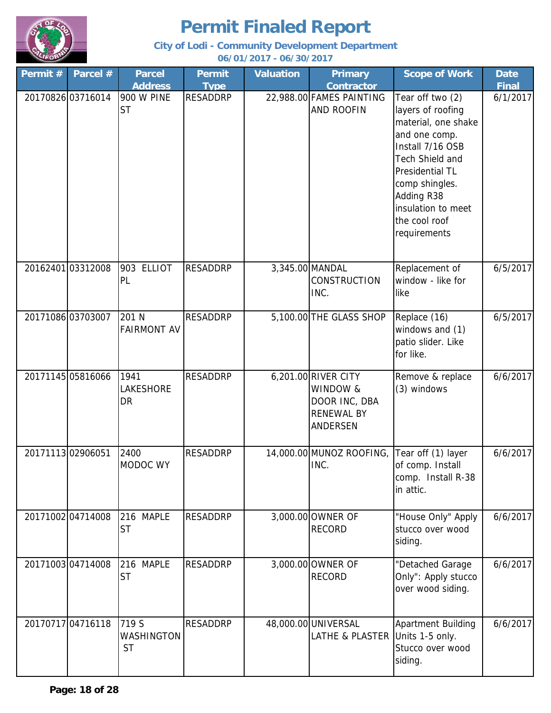

| Permit # | Parcel #          | <b>Parcel</b>                    | <b>Permit</b>   | <b>Valuation</b> | <b>Primary</b>                                                                           | <b>Scope of Work</b>                                                                                                                                                                                                           | <b>Date</b>  |
|----------|-------------------|----------------------------------|-----------------|------------------|------------------------------------------------------------------------------------------|--------------------------------------------------------------------------------------------------------------------------------------------------------------------------------------------------------------------------------|--------------|
|          |                   | <b>Address</b>                   | <b>Type</b>     |                  | <b>Contractor</b>                                                                        |                                                                                                                                                                                                                                | <b>Final</b> |
|          | 20170826 03716014 | 900 W PINE<br><b>ST</b>          | <b>RESADDRP</b> |                  | 22,988.00 FAMES PAINTING<br><b>AND ROOFIN</b>                                            | Tear off two (2)<br>layers of roofing<br>material, one shake<br>and one comp.<br>Install 7/16 OSB<br>Tech Shield and<br>Presidential TL<br>comp shingles.<br>Adding R38<br>insulation to meet<br>the cool roof<br>requirements | 6/1/2017     |
|          | 20162401 03312008 | 903 ELLIOT<br>PL                 | <b>RESADDRP</b> |                  | 3,345.00 MANDAL<br><b>CONSTRUCTION</b><br>INC.                                           | Replacement of<br>window - like for<br>like                                                                                                                                                                                    | 6/5/2017     |
|          | 2017108603703007  | 201 N<br><b>FAIRMONT AV</b>      | <b>RESADDRP</b> |                  | 5,100.00 THE GLASS SHOP                                                                  | Replace (16)<br>windows and (1)<br>patio slider. Like<br>for like.                                                                                                                                                             | 6/5/2017     |
|          | 20171145 05816066 | 1941<br>LAKESHORE<br><b>DR</b>   | <b>RESADDRP</b> |                  | 6,201.00 RIVER CITY<br>WINDOW &<br>DOOR INC, DBA<br><b>RENEWAL BY</b><br><b>ANDERSEN</b> | Remove & replace<br>(3) windows                                                                                                                                                                                                | 6/6/2017     |
|          | 20171113 02906051 | 2400<br>MODOC WY                 | <b>RESADDRP</b> |                  | 14,000.00 MUNOZ ROOFING,<br>INC.                                                         | Tear off (1) layer<br>of comp. Install<br>comp. Install R-38<br>in attic.                                                                                                                                                      | 6/6/2017     |
|          | 2017100204714008  | 216 MAPLE<br><b>ST</b>           | <b>RESADDRP</b> |                  | 3,000.00 OWNER OF<br><b>RECORD</b>                                                       | "House Only" Apply<br>stucco over wood<br>siding.                                                                                                                                                                              | 6/6/2017     |
|          | 2017100304714008  | 216 MAPLE<br><b>ST</b>           | <b>RESADDRP</b> |                  | 3,000.00 OWNER OF<br><b>RECORD</b>                                                       | "Detached Garage<br>Only": Apply stucco<br>over wood siding.                                                                                                                                                                   | 6/6/2017     |
|          | 20170717 04716118 | 719 S<br>WASHINGTON<br><b>ST</b> | <b>RESADDRP</b> |                  | 48,000.00 UNIVERSAL<br><b>LATHE &amp; PLASTER</b>                                        | Apartment Building<br>Units 1-5 only.<br>Stucco over wood<br>siding.                                                                                                                                                           | 6/6/2017     |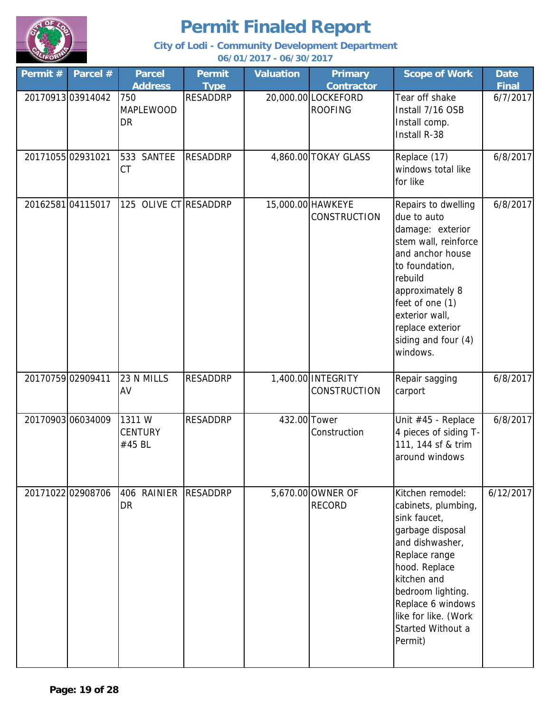

| Permit # | Parcel #          | <b>Parcel</b><br><b>Address</b>   | Permit<br><b>Type</b> | <b>Valuation</b> | <b>Primary</b><br><b>Contractor</b>       | <b>Scope of Work</b>                                                                                                                                                                                                                              | <b>Date</b><br><b>Final</b> |
|----------|-------------------|-----------------------------------|-----------------------|------------------|-------------------------------------------|---------------------------------------------------------------------------------------------------------------------------------------------------------------------------------------------------------------------------------------------------|-----------------------------|
|          | 2017091303914042  | 750<br><b>MAPLEWOOD</b><br>DR     | <b>RESADDRP</b>       |                  | 20,000.00 LOCKEFORD<br><b>ROOFING</b>     | Tear off shake<br>Install 7/16 OSB<br>Install comp.<br>Install R-38                                                                                                                                                                               | 6/7/2017                    |
|          | 20171055 02931021 | 533 SANTEE<br><b>CT</b>           | <b>RESADDRP</b>       |                  | 4,860.00 TOKAY GLASS                      | Replace (17)<br>windows total like<br>for like                                                                                                                                                                                                    | 6/8/2017                    |
|          | 2016258104115017  | 125 OLIVE CT RESADDRP             |                       |                  | 15,000.00 HAWKEYE<br><b>CONSTRUCTION</b>  | Repairs to dwelling<br>due to auto<br>damage: exterior<br>stem wall, reinforce<br>and anchor house<br>to foundation,<br>rebuild<br>approximately 8<br>feet of one (1)<br>exterior wall,<br>replace exterior<br>siding and four (4)<br>windows.    | 6/8/2017                    |
|          | 20170759 02909411 | 23 N MILLS<br>AV                  | <b>RESADDRP</b>       |                  | 1,400.00 INTEGRITY<br><b>CONSTRUCTION</b> | Repair sagging<br>carport                                                                                                                                                                                                                         | 6/8/2017                    |
|          | 20170903 06034009 | 1311W<br><b>CENTURY</b><br>#45 BL | <b>RESADDRP</b>       | 432.00 Tower     | Construction                              | Unit #45 - Replace<br>4 pieces of siding T-<br>111, 144 sf & trim<br>around windows                                                                                                                                                               | 6/8/2017                    |
|          | 20171022 02908706 | 406 RAINIER RESADDRP<br>DR        |                       |                  | 5,670.00 OWNER OF<br><b>RECORD</b>        | Kitchen remodel:<br>cabinets, plumbing,<br>sink faucet,<br>garbage disposal<br>and dishwasher,<br>Replace range<br>hood. Replace<br>kitchen and<br>bedroom lighting.<br>Replace 6 windows<br>like for like. (Work<br>Started Without a<br>Permit) | 6/12/2017                   |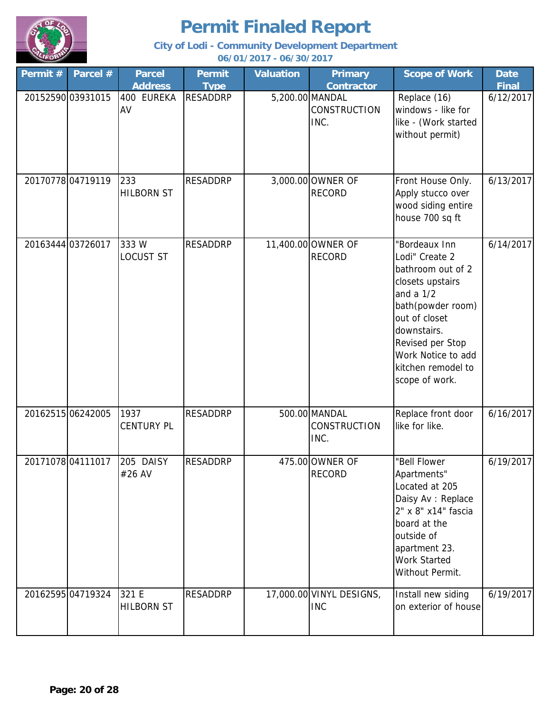

| Permit # | Parcel #          | <b>Parcel</b><br><b>Address</b> | <b>Permit</b><br><b>Type</b> | <b>Valuation</b> | <b>Primary</b><br><b>Contractor</b>            | <b>Scope of Work</b>                                                                                                                                                                                                           | <b>Date</b><br><b>Final</b> |
|----------|-------------------|---------------------------------|------------------------------|------------------|------------------------------------------------|--------------------------------------------------------------------------------------------------------------------------------------------------------------------------------------------------------------------------------|-----------------------------|
|          | 20152590 03931015 | 400 EUREKA<br>AV                | <b>RESADDRP</b>              |                  | 5,200.00 MANDAL<br><b>CONSTRUCTION</b><br>INC. | Replace (16)<br>windows - like for<br>like - (Work started<br>without permit)                                                                                                                                                  | 6/12/2017                   |
|          | 2017077804719119  | 233<br><b>HILBORN ST</b>        | <b>RESADDRP</b>              |                  | 3,000.00 OWNER OF<br><b>RECORD</b>             | Front House Only.<br>Apply stucco over<br>wood siding entire<br>house 700 sq ft                                                                                                                                                | 6/13/2017                   |
|          | 20163444 03726017 | 333W<br><b>LOCUST ST</b>        | <b>RESADDRP</b>              |                  | 11,400.00 OWNER OF<br><b>RECORD</b>            | "Bordeaux Inn<br>Lodi" Create 2<br>bathroom out of 2<br>closets upstairs<br>and a $1/2$<br>bath(powder room)<br>out of closet<br>downstairs.<br>Revised per Stop<br>Work Notice to add<br>kitchen remodel to<br>scope of work. | 6/14/2017                   |
|          | 20162515 06242005 | 1937<br><b>CENTURY PL</b>       | <b>RESADDRP</b>              |                  | 500.00 MANDAL<br><b>CONSTRUCTION</b><br>INC.   | Replace front door<br>like for like.                                                                                                                                                                                           | 6/16/2017                   |
|          | 20171078 04111017 | 205 DAISY<br>#26 AV             | <b>RESADDRP</b>              |                  | 475.00 OWNER OF<br><b>RECORD</b>               | "Bell Flower<br>Apartments"<br>Located at 205<br>Daisy Av : Replace<br>2" x 8" x14" fascia<br>board at the<br>outside of<br>apartment 23.<br><b>Work Started</b><br>Without Permit.                                            | 6/19/2017                   |
|          | 20162595 04719324 | 321 E<br><b>HILBORN ST</b>      | <b>RESADDRP</b>              |                  | 17,000.00 VINYL DESIGNS,<br><b>INC</b>         | Install new siding<br>on exterior of house                                                                                                                                                                                     | 6/19/2017                   |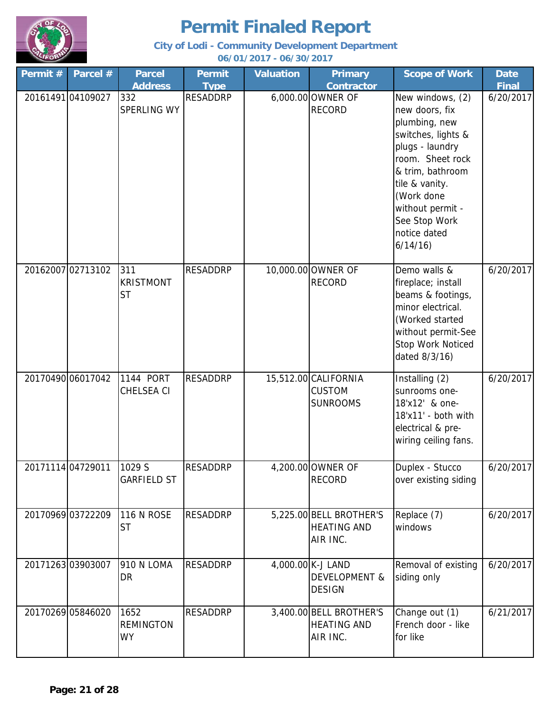

| Permit #          | Parcel #          | <b>Parcel</b>                         | <b>Permit</b>   | <b>Valuation</b> | <b>Primary</b>                                                 | <b>Scope of Work</b>                                                                                                                                                                                                                 | <b>Date</b>  |
|-------------------|-------------------|---------------------------------------|-----------------|------------------|----------------------------------------------------------------|--------------------------------------------------------------------------------------------------------------------------------------------------------------------------------------------------------------------------------------|--------------|
|                   |                   | <b>Address</b>                        | <b>Type</b>     |                  | <b>Contractor</b>                                              |                                                                                                                                                                                                                                      | <b>Final</b> |
|                   | 20161491 04109027 | 332<br>SPERLING WY                    | <b>RESADDRP</b> |                  | 6,000.00 OWNER OF<br><b>RECORD</b>                             | New windows, (2)<br>new doors, fix<br>plumbing, new<br>switches, lights &<br>plugs - laundry<br>room. Sheet rock<br>& trim, bathroom<br>tile & vanity.<br>(Work done<br>without permit -<br>See Stop Work<br>notice dated<br>6/14/16 | 6/20/2017    |
|                   | 20162007 02713102 | 311<br><b>KRISTMONT</b><br><b>ST</b>  | <b>RESADDRP</b> |                  | 10,000.00 OWNER OF<br><b>RECORD</b>                            | Demo walls &<br>fireplace; install<br>beams & footings,<br>minor electrical.<br>(Worked started<br>without permit-See<br>Stop Work Noticed<br>dated 8/3/16)                                                                          | 6/20/2017    |
|                   | 20170490 06017042 | 1144 PORT<br>CHELSEA CI               | <b>RESADDRP</b> |                  | 15,512.00 CALIFORNIA<br><b>CUSTOM</b><br><b>SUNROOMS</b>       | Installing (2)<br>sunrooms one-<br>18'x12' & one-<br>18'x11' - both with<br>electrical & pre-<br>wiring ceiling fans.                                                                                                                | 6/20/2017    |
| 20171114 04729011 |                   | 1029 S<br><b>GARFIELD ST</b>          | <b>RESADDRP</b> |                  | 4,200.00 OWNER OF<br><b>RECORD</b>                             | Duplex - Stucco<br>over existing siding                                                                                                                                                                                              | 6/20/2017    |
|                   | 20170969 03722209 | <b>116 N ROSE</b><br><b>ST</b>        | <b>RESADDRP</b> |                  | 5,225.00 BELL BROTHER'S<br><b>HEATING AND</b><br>AIR INC.      | Replace (7)<br>windows                                                                                                                                                                                                               | 6/20/2017    |
|                   | 2017126303903007  | 910 N LOMA<br><b>DR</b>               | <b>RESADDRP</b> |                  | 4,000.00 K-J LAND<br><b>DEVELOPMENT &amp;</b><br><b>DESIGN</b> | Removal of existing<br>siding only                                                                                                                                                                                                   | 6/20/2017    |
|                   | 20170269 05846020 | 1652<br><b>REMINGTON</b><br><b>WY</b> | <b>RESADDRP</b> |                  | 3,400.00 BELL BROTHER'S<br><b>HEATING AND</b><br>AIR INC.      | Change out (1)<br>French door - like<br>for like                                                                                                                                                                                     | 6/21/2017    |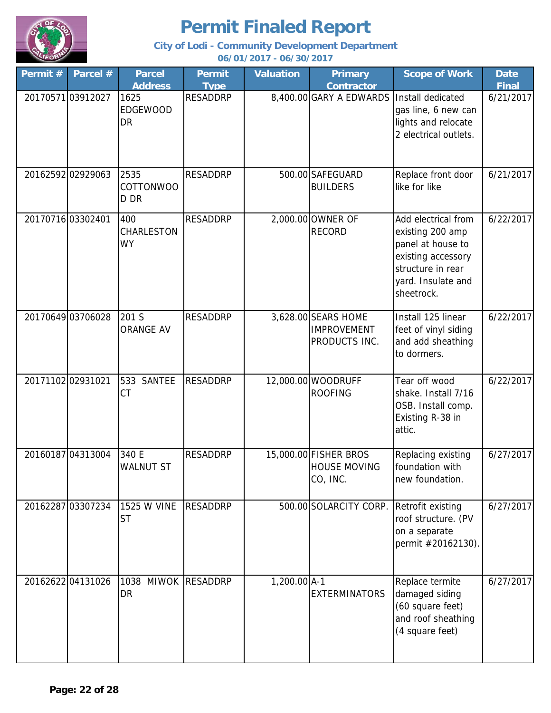

**City of Lodi - Community Development Department 06/01/2017 - 06/30/2017**

**Permit # Parcel # Permit Type Valuation Primary Contractor Scope of Work | Date Final Parcel Address** 20170571 03912027 RESADDRP 8,400.00 GARY A EDWARDS Install dedicated gas line, 6 new can lights and relocate 2 electrical outlets. 6/21/2017 20162592 02929063 2535 RESADDRP 500.00 SAFEGUARD BUILDERS Replace front door like for like 6/21/2017 20170716 03302401 400 RESADDRP 2,000.00 OWNER OF RECORD Add electrical from existing 200 amp panel at house to existing accessory structure in rear yard. Insulate and sheetrock. 6/22/2017 20170649 03706028 201 S RESADDRP 3,628.00 SEARS HOME IMPROVEMENT PRODUCTS INC. Install 125 linear feet of vinyl siding and add sheathing to dormers. 6/22/2017 20171102 02931021 533 SANTEE RESADDRP | 12,000.00 WOODRUFF ROOFING Tear off wood shake. Install 7/16 OSB. Install comp. Existing R-38 in attic. 6/22/2017 20160187 04313004 340 E RESADDRP 1 15,000,00 FISHER BROS HOUSE MOVING CO, INC. Replacing existing foundation with new foundation. 6/27/2017 20162287 03307234 1525 W VINE RESADDRP | 500.00 SOLARCITY CORP. Retrofit existing roof structure. (PV on a separate permit #20162130). 6/27/2017 20162622|04131026 |1038 MIWOK RESADDRP | 1,200.00 A-1 **EXTERMINATORS** Replace termite damaged siding (60 square feet) and roof sheathing (4 square feet) 6/27/2017 201 S ORANGE AV 533 SANTEE CT 340 E WALNUT ST 1525 W VINE ST DR 1625 EDGEWOOD DR 2535 COTTONWOO D DR 400 CHARLESTON WY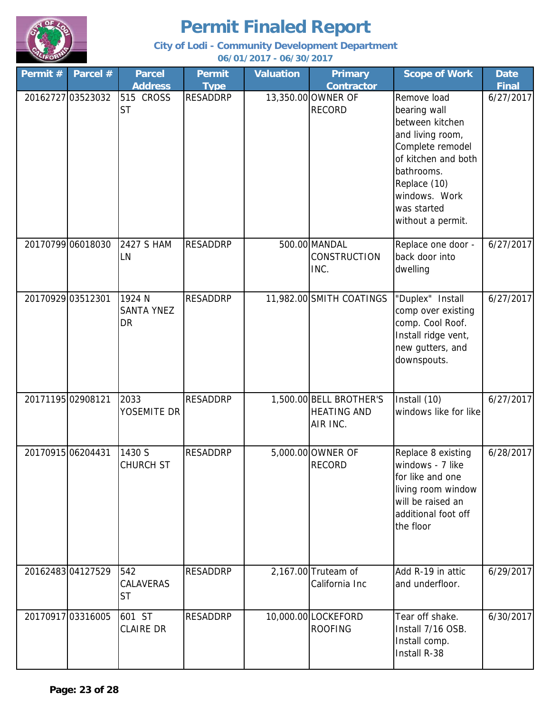

| Permit #          | Parcel #          | <b>Parcel</b>                            | <b>Permit</b>   | <b>Valuation</b> | <b>Primary</b>                                            | <b>Scope of Work</b>                                                                                                                                                                             | <b>Date</b>  |
|-------------------|-------------------|------------------------------------------|-----------------|------------------|-----------------------------------------------------------|--------------------------------------------------------------------------------------------------------------------------------------------------------------------------------------------------|--------------|
|                   |                   | <b>Address</b>                           | <b>Type</b>     |                  | <b>Contractor</b>                                         |                                                                                                                                                                                                  | <b>Final</b> |
|                   | 20162727 03523032 | 515 CROSS<br><b>ST</b>                   | <b>RESADDRP</b> |                  | 13,350.00 OWNER OF<br><b>RECORD</b>                       | Remove load<br>bearing wall<br>between kitchen<br>and living room,<br>Complete remodel<br>of kitchen and both<br>bathrooms.<br>Replace (10)<br>windows. Work<br>was started<br>without a permit. | 6/27/2017    |
|                   | 20170799 06018030 | 2427 S HAM<br>LN                         | <b>RESADDRP</b> |                  | 500.00 MANDAL<br><b>CONSTRUCTION</b><br>INC.              | Replace one door -<br>back door into<br>dwelling                                                                                                                                                 | 6/27/2017    |
|                   | 20170929 03512301 | 1924 N<br><b>SANTA YNEZ</b><br><b>DR</b> | <b>RESADDRP</b> |                  | 11,982.00 SMITH COATINGS                                  | "Duplex" Install<br>comp over existing<br>comp. Cool Roof.<br>Install ridge vent,<br>new gutters, and<br>downspouts.                                                                             | 6/27/2017    |
| 20171195 02908121 |                   | 2033<br>YOSEMITE DR                      | <b>RESADDRP</b> |                  | 1,500.00 BELL BROTHER'S<br><b>HEATING AND</b><br>AIR INC. | Install (10)<br>windows like for like                                                                                                                                                            | 6/27/2017    |
| 20170915 06204431 |                   | 1430 S<br>CHURCH ST                      | <b>RESADDRP</b> |                  | 5,000.00 OWNER OF<br><b>RECORD</b>                        | Replace 8 existing<br>windows - 7 like<br>for like and one<br>living room window<br>will be raised an<br>additional foot off<br>the floor                                                        | 6/28/2017    |
|                   | 2016248304127529  | 542<br>CALAVERAS<br><b>ST</b>            | <b>RESADDRP</b> |                  | 2,167.00 Truteam of<br>California Inc                     | Add R-19 in attic<br>and underfloor.                                                                                                                                                             | 6/29/2017    |
|                   | 20170917 03316005 | 601 ST<br><b>CLAIRE DR</b>               | <b>RESADDRP</b> |                  | 10,000.00 LOCKEFORD<br><b>ROOFING</b>                     | Tear off shake.<br>Install 7/16 OSB.<br>Install comp.<br>Install R-38                                                                                                                            | 6/30/2017    |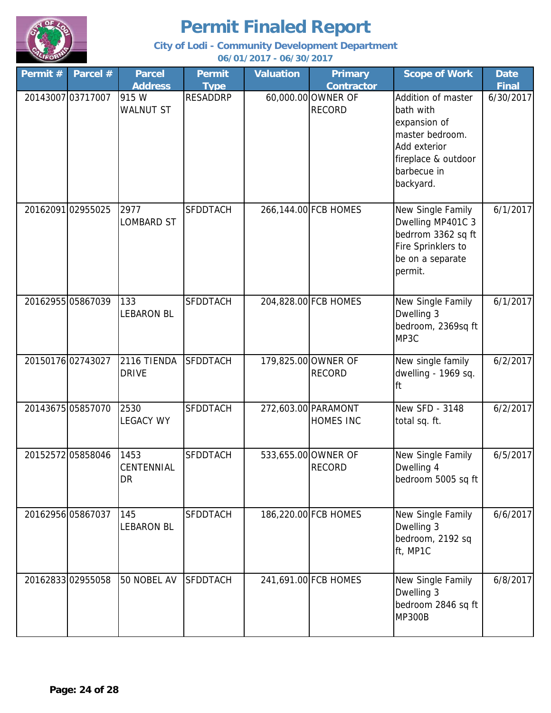

| Permit # | Parcel #          | <b>Parcel</b>                          | <b>Permit</b>   | <b>Valuation</b> | <b>Primary</b>                          | <b>Scope of Work</b>                                                                                                                  | <b>Date</b>  |
|----------|-------------------|----------------------------------------|-----------------|------------------|-----------------------------------------|---------------------------------------------------------------------------------------------------------------------------------------|--------------|
|          |                   | <b>Address</b>                         | <b>Type</b>     |                  | <b>Contractor</b>                       |                                                                                                                                       | <b>Final</b> |
|          | 20143007 03717007 | 915 W<br><b>WALNUT ST</b>              | <b>RESADDRP</b> |                  | 60,000.00 OWNER OF<br><b>RECORD</b>     | Addition of master<br>bath with<br>expansion of<br>master bedroom.<br>Add exterior<br>fireplace & outdoor<br>barbecue in<br>backyard. | 6/30/2017    |
|          | 20162091 02955025 | 2977<br><b>LOMBARD ST</b>              | <b>SFDDTACH</b> |                  | 266,144.00 FCB HOMES                    | New Single Family<br>Dwelling MP401C 3<br>bedrrom 3362 sq ft<br>Fire Sprinklers to<br>be on a separate<br>permit.                     | 6/1/2017     |
|          | 20162955 05867039 | 133<br><b>LEBARON BL</b>               | <b>SFDDTACH</b> |                  | 204,828.00 FCB HOMES                    | New Single Family<br>Dwelling 3<br>bedroom, 2369sq ft<br>MP3C                                                                         | 6/1/2017     |
|          | 20150176 02743027 | 2116 TIENDA<br><b>DRIVE</b>            | <b>SFDDTACH</b> |                  | 179,825.00 OWNER OF<br><b>RECORD</b>    | New single family<br>dwelling - 1969 sq.<br>ft                                                                                        | 6/2/2017     |
|          | 20143675 05857070 | 2530<br><b>LEGACY WY</b>               | <b>SFDDTACH</b> |                  | 272,603.00 PARAMONT<br><b>HOMES INC</b> | New SFD - 3148<br>total sq. ft.                                                                                                       | 6/2/2017     |
|          | 20152572 05858046 | 1453<br><b>CENTENNIAL</b><br><b>DR</b> | <b>SFDDTACH</b> |                  | 533,655.00 OWNER OF<br><b>RECORD</b>    | New Single Family<br>Dwelling 4<br>bedroom 5005 sq ft                                                                                 | 6/5/2017     |
|          | 20162956 05867037 | 145<br><b>LEBARON BL</b>               | <b>SFDDTACH</b> |                  | 186,220.00 FCB HOMES                    | New Single Family<br>Dwelling 3<br>bedroom, 2192 sq<br>ft, MP1C                                                                       | 6/6/2017     |
|          | 20162833 02955058 | 50 NOBEL AV                            | <b>SFDDTACH</b> |                  | 241,691.00 FCB HOMES                    | New Single Family<br>Dwelling 3<br>bedroom 2846 sq ft<br><b>MP300B</b>                                                                | 6/8/2017     |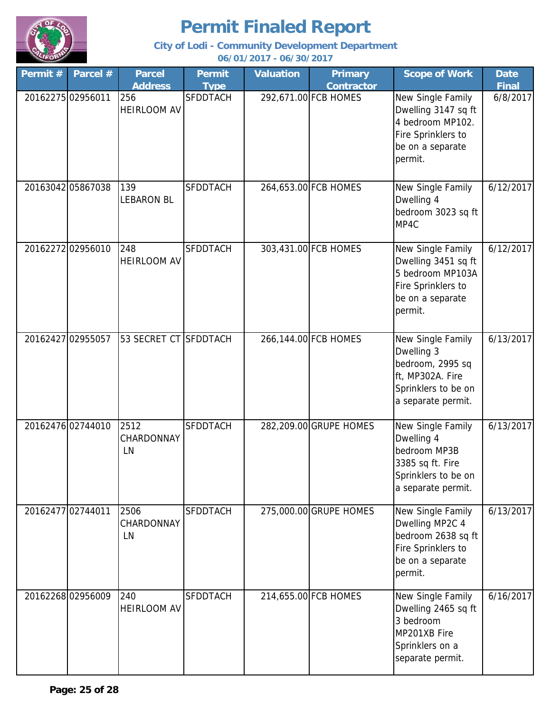

**City of Lodi - Community Development Department**

**06/01/2017 - 06/30/2017**

| Permit # | Parcel #          | <b>Parcel</b>             | Permit          | <b>Valuation</b> | <b>Primary</b>         | <b>Scope of Work</b>                                                                                                 | <b>Date</b>  |
|----------|-------------------|---------------------------|-----------------|------------------|------------------------|----------------------------------------------------------------------------------------------------------------------|--------------|
|          |                   | <b>Address</b>            | <b>Type</b>     |                  | <b>Contractor</b>      |                                                                                                                      | <b>Final</b> |
|          | 20162275 02956011 | 256<br><b>HEIRLOOM AV</b> | <b>SFDDTACH</b> |                  | 292,671.00 FCB HOMES   | New Single Family<br>Dwelling 3147 sq ft<br>4 bedroom MP102.<br>Fire Sprinklers to<br>be on a separate<br>permit.    | 6/8/2017     |
|          | 20163042 05867038 | 139<br><b>LEBARON BL</b>  | <b>SFDDTACH</b> |                  | 264,653.00 FCB HOMES   | New Single Family<br>Dwelling 4<br>bedroom 3023 sq ft<br>MP4C                                                        | 6/12/2017    |
|          | 20162272 02956010 | 248<br><b>HEIRLOOM AV</b> | <b>SFDDTACH</b> |                  | 303,431.00 FCB HOMES   | New Single Family<br>Dwelling 3451 sq ft<br>5 bedroom MP103A<br>Fire Sprinklers to<br>be on a separate<br>permit.    | 6/12/2017    |
|          | 20162427 02955057 | 53 SECRET CT SFDDTACH     |                 |                  | 266,144.00 FCB HOMES   | New Single Family<br>Dwelling 3<br>bedroom, 2995 sq<br>ft, MP302A. Fire<br>Sprinklers to be on<br>a separate permit. | 6/13/2017    |
|          | 20162476 02744010 | 2512<br>CHARDONNAY<br>LN  | <b>SFDDTACH</b> |                  | 282,209.00 GRUPE HOMES | New Single Family<br>Dwelling 4<br>bedroom MP3B<br>3385 sq ft. Fire<br>Sprinklers to be on<br>a separate permit.     | 6/13/2017    |
|          | 20162477 02744011 | 2506<br>CHARDONNAY<br>LN  | <b>SFDDTACH</b> |                  | 275,000.00 GRUPE HOMES | New Single Family<br>Dwelling MP2C 4<br>bedroom 2638 sq ft<br>Fire Sprinklers to<br>be on a separate<br>permit.      | 6/13/2017    |
|          | 2016226802956009  | 240<br><b>HEIRLOOM AV</b> | <b>SFDDTACH</b> |                  | 214,655.00 FCB HOMES   | New Single Family<br>Dwelling 2465 sq ft<br>3 bedroom<br>MP201XB Fire<br>Sprinklers on a<br>separate permit.         | 6/16/2017    |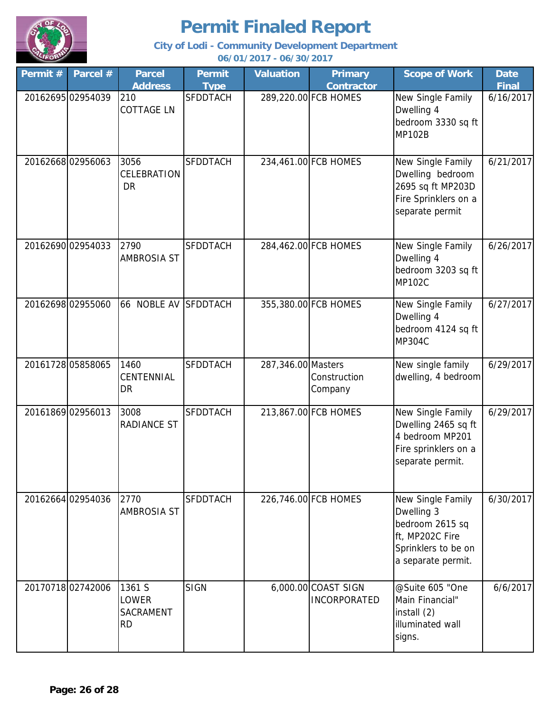

**City of Lodi - Community Development Department**

**06/01/2017 - 06/30/2017**

| Permit # | Parcel #          | <b>Parcel</b><br><b>Address</b>           | <b>Permit</b><br><b>Type</b> | <b>Valuation</b>   | <b>Primary</b><br><b>Contractor</b>        | <b>Scope of Work</b>                                                                                               | <b>Date</b><br><b>Final</b> |
|----------|-------------------|-------------------------------------------|------------------------------|--------------------|--------------------------------------------|--------------------------------------------------------------------------------------------------------------------|-----------------------------|
|          | 20162695 02954039 | 210<br><b>COTTAGE LN</b>                  | <b>SFDDTACH</b>              |                    | 289,220.00 FCB HOMES                       | New Single Family<br>Dwelling 4<br>bedroom 3330 sq ft<br><b>MP102B</b>                                             | 6/16/2017                   |
|          | 2016266802956063  | 3056<br>CELEBRATION<br><b>DR</b>          | <b>SFDDTACH</b>              |                    | 234,461.00 FCB HOMES                       | New Single Family<br>Dwelling bedroom<br>2695 sq ft MP203D<br>Fire Sprinklers on a<br>separate permit              | 6/21/2017                   |
|          | 20162690 02954033 | 2790<br><b>AMBROSIA ST</b>                | <b>SFDDTACH</b>              |                    | 284,462.00 FCB HOMES                       | New Single Family<br>Dwelling 4<br>bedroom 3203 sq ft<br><b>MP102C</b>                                             | 6/26/2017                   |
|          | 20162698 02955060 | 66 NOBLE AV SFDDTACH                      |                              |                    | 355,380.00 FCB HOMES                       | New Single Family<br>Dwelling 4<br>bedroom 4124 sq ft<br><b>MP304C</b>                                             | 6/27/2017                   |
|          | 20161728 05858065 | 1460<br>CENTENNIAL<br>DR                  | <b>SFDDTACH</b>              | 287,346.00 Masters | Construction<br>Company                    | New single family<br>dwelling, 4 bedroom                                                                           | 6/29/2017                   |
|          | 20161869 02956013 | 3008<br>RADIANCE ST                       | SFDDTACH                     |                    | 213,867.00 FCB HOMES                       | New Single Family<br>Dwelling 2465 sq ft<br>4 bedroom MP201<br>Fire sprinklers on a<br>separate permit.            | 6/29/2017                   |
|          | 20162664 02954036 | 2770<br>AMBROSIA ST                       | <b>SFDDTACH</b>              |                    | 226,746.00 FCB HOMES                       | New Single Family<br>Dwelling 3<br>bedroom 2615 sq<br>ft, MP202C Fire<br>Sprinklers to be on<br>a separate permit. | 6/30/2017                   |
|          | 2017071802742006  | 1361 S<br>LOWER<br>SACRAMENT<br><b>RD</b> | <b>SIGN</b>                  |                    | 6,000.00 COAST SIGN<br><b>INCORPORATED</b> | @Suite 605 "One<br>Main Financial"<br>install (2)<br>illuminated wall<br>signs.                                    | 6/6/2017                    |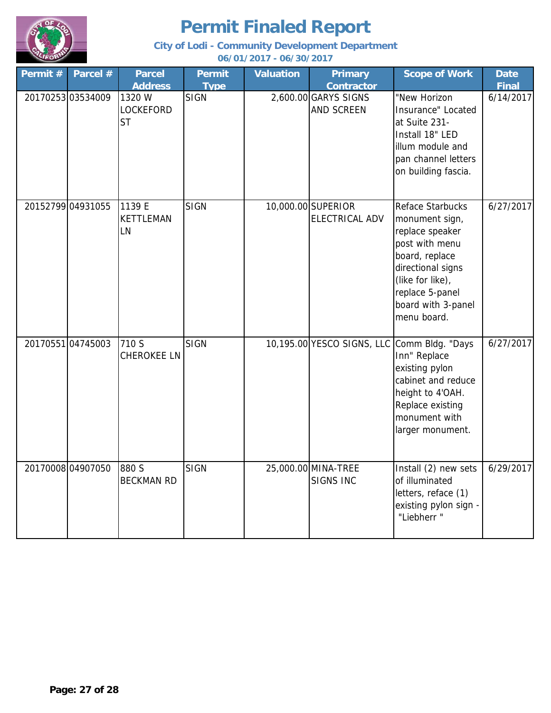

| Permit # | Parcel #          | <b>Parcel</b><br><b>Address</b>         | <b>Permit</b><br><b>Type</b> | <b>Valuation</b> | <b>Primary</b><br><b>Contractor</b>       | <b>Scope of Work</b>                                                                                                                                                                       | <b>Date</b><br><b>Final</b> |
|----------|-------------------|-----------------------------------------|------------------------------|------------------|-------------------------------------------|--------------------------------------------------------------------------------------------------------------------------------------------------------------------------------------------|-----------------------------|
|          | 20170253 03534009 | 1320 W<br><b>LOCKEFORD</b><br><b>ST</b> | <b>SIGN</b>                  |                  | 2,600.00 GARYS SIGNS<br><b>AND SCREEN</b> | "New Horizon<br>Insurance" Located<br>at Suite 231-<br>Install 18" LED<br>illum module and<br>pan channel letters<br>on building fascia.                                                   | 6/14/2017                   |
|          | 20152799 04931055 | 1139 E<br><b>KETTLEMAN</b><br>LN        | <b>SIGN</b>                  |                  | 10,000.00 SUPERIOR<br>ELECTRICAL ADV      | Reface Starbucks<br>monument sign,<br>replace speaker<br>post with menu<br>board, replace<br>directional signs<br>(like for like),<br>replace 5-panel<br>board with 3-panel<br>menu board. | 6/27/2017                   |
|          | 2017055104745003  | 710 S<br><b>CHEROKEE LN</b>             | <b>SIGN</b>                  |                  | 10,195.00 YESCO SIGNS, LLC                | Comm Bldg. "Days<br>Inn" Replace<br>existing pylon<br>cabinet and reduce<br>height to 4'OAH.<br>Replace existing<br>monument with<br>larger monument.                                      | 6/27/2017                   |
|          | 2017000804907050  | 880 S<br><b>BECKMAN RD</b>              | <b>SIGN</b>                  |                  | 25,000.00 MINA-TREE<br><b>SIGNS INC</b>   | Install $(2)$ new sets<br>of illuminated<br>letters, reface (1)<br>existing pylon sign -<br>"Liebherr "                                                                                    | 6/29/2017                   |